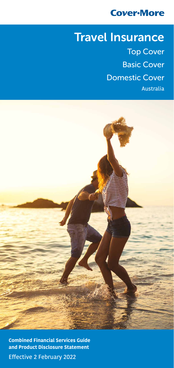## **Cover-More**

# Travel Insurance

Top Cover Basic Cover Domestic Cover Australia



Efective 2 February 2022 **Combined Financial Services Guide and Product Disclosure Statement**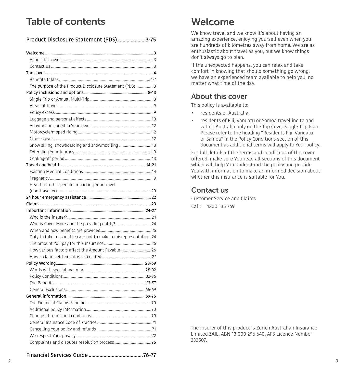## Table of contents

| Product Disclosure Statement (PDS)3-75                         |  |
|----------------------------------------------------------------|--|
|                                                                |  |
|                                                                |  |
|                                                                |  |
|                                                                |  |
|                                                                |  |
| The purpose of the Product Disclosure Statement (PDS)8         |  |
|                                                                |  |
|                                                                |  |
|                                                                |  |
|                                                                |  |
|                                                                |  |
|                                                                |  |
|                                                                |  |
|                                                                |  |
|                                                                |  |
|                                                                |  |
|                                                                |  |
|                                                                |  |
|                                                                |  |
|                                                                |  |
| Health of other people impacting Your travel                   |  |
|                                                                |  |
|                                                                |  |
|                                                                |  |
|                                                                |  |
|                                                                |  |
|                                                                |  |
|                                                                |  |
| Duty to take reasonable care not to make a misrepresentation24 |  |
|                                                                |  |
|                                                                |  |
|                                                                |  |
|                                                                |  |
|                                                                |  |
|                                                                |  |
|                                                                |  |
|                                                                |  |
|                                                                |  |
|                                                                |  |
|                                                                |  |
|                                                                |  |
|                                                                |  |
|                                                                |  |
|                                                                |  |
|                                                                |  |

### Financial Services Guide ........................................[76](#page-38-0)[-77](#page-38-1)

## <span id="page-1-0"></span>Welcome

We know travel and we know it's about having an amazing experience, enjoying yourself even when you are hundreds of kilometres away from home. We are as enthusiastic about travel as you, but we know things don't always go to plan.

If the unexpected happens, you can relax and take comfort in knowing that should something go wrong, we have an experienced team available to help you, no matter what time of the day.

### <span id="page-1-1"></span>About this cover

This policy is available to:

- residents of Australia.
- residents of Fiji, Vanuatu or Samoa travelling to and within Australia only on the Top Cover Single Trip Plan. Please refer to the heading "Residents Fiji, Vanuatu or Samoa" in the Policy Conditions section of this document as additional terms will apply to Your policy.

For full details of the terms and conditions of the cover ofered, make sure You read all sections of this document which will help You understand the policy and provide You with information to make an informed decision about whether this insurance is suitable for You.

## <span id="page-1-2"></span>Contact us

Customer Service and Claims Call: 1300 135 769

The insurer of this product is Zurich Australian Insurance Limited ZAIL, ABN 13 000 296 640, AFS Licence Number 232507.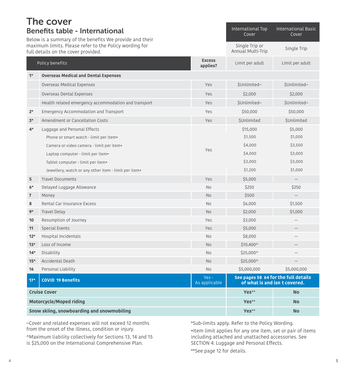<span id="page-2-1"></span><span id="page-2-0"></span>

| The cover                |                                                                                                                    |                            |                                     |                                                                       |
|--------------------------|--------------------------------------------------------------------------------------------------------------------|----------------------------|-------------------------------------|-----------------------------------------------------------------------|
|                          | <b>Benefits table - International</b><br>Below is a summary of the benefits We provide and their                   | International Top<br>Cover | <b>International Basic</b><br>Cover |                                                                       |
|                          | maximum limits. Please refer to the Policy wording for<br>full details on the cover provided.                      |                            | Single Trip or<br>Annual Multi-Trip | Single Trip                                                           |
|                          | Policy benefits                                                                                                    | <b>Excess</b><br>applies?  | Limit per adult                     | Limit per adult                                                       |
| $1*$                     | <b>Overseas Medical and Dental Expenses</b>                                                                        |                            |                                     |                                                                       |
|                          | Overseas Medical Expenses                                                                                          | Yes                        | \$Unlimited~                        | \$Unlimited~                                                          |
|                          | Overseas Dental Expenses                                                                                           | Yes                        | \$2,000                             | \$2,000                                                               |
|                          | Health related emergency accommodation and transport                                                               | Yes                        | \$Unlimited~                        | \$Unlimited~                                                          |
| $2*$                     | Emergency Accommodation and Transport                                                                              | Yes                        | \$50,000                            | \$50,000                                                              |
| $3*$                     | Amendment or Cancellation Costs                                                                                    | Yes                        | <b>SUnlimited</b>                   | <b>SUnlimited</b>                                                     |
| $4*$                     | Luggage and Personal Effects<br>Phone or smart watch - limit per item.                                             |                            | \$15,000<br>\$1,500                 | \$5,000<br>\$1,000                                                    |
|                          | Camera or video camera - limit per item•<br>Laptop computer - limit per item.<br>Tablet computer - limit per item. | Yes                        | \$4,000<br>\$4,000<br>\$3,000       | \$3,500<br>\$3,000<br>\$3,000                                         |
|                          | Jewellery, watch or any other item - limit per item.                                                               |                            | \$1,200                             | \$1,000                                                               |
| 5                        | <b>Travel Documents</b>                                                                                            | Yes                        | \$5,000                             |                                                                       |
| $6*$                     | Delayed Luggage Allowance                                                                                          | <b>No</b>                  | \$250                               | \$250                                                                 |
| $\overline{\phantom{a}}$ | Money                                                                                                              | <b>No</b>                  | \$500                               | $\qquad \qquad -$                                                     |
| 8                        | Rental Car Insurance Excess                                                                                        | <b>No</b>                  | \$6,000                             | \$1,500                                                               |
| $9*$                     | <b>Travel Delay</b>                                                                                                | <b>No</b>                  | \$2,000                             | \$1,000                                                               |
| 10                       | Resumption of Journey                                                                                              | Yes                        | \$3,000                             |                                                                       |
| 11                       | Special Events                                                                                                     | Yes                        | \$5,000                             |                                                                       |
| $12*$                    | Hospital Incidentals                                                                                               | <b>No</b>                  | \$8,000                             |                                                                       |
| $13*$                    | Loss of Income                                                                                                     | <b>No</b>                  | \$10,400^                           |                                                                       |
| $14*$                    | Disability                                                                                                         | <b>No</b>                  | \$25,000^                           |                                                                       |
| $15*$                    | Accidental Death                                                                                                   | <b>No</b>                  | \$25,000^                           |                                                                       |
| 16                       | Personal Liability                                                                                                 | <b>No</b>                  | \$5,000,000                         | \$5,000,000                                                           |
| $17*$                    | <b>COVID 19 Benefits</b>                                                                                           | $Yes -$<br>As applicable   |                                     | See pages 58 64 for the full details<br>of what is and isn t covered. |
|                          | <b>Cruise Cover</b>                                                                                                |                            | Yes**                               | <b>No</b>                                                             |
|                          | <b>Motorcycle/Moped riding</b>                                                                                     |                            |                                     | <b>No</b>                                                             |
|                          | Snow skiing, snowboarding and snowmobiling                                                                         |                            |                                     | <b>No</b>                                                             |

~Cover and related expenses will not exceed 12 months from the onset of the illness, condition or injury.

^Maximum liability collectively for Sections 13, 14 and 15 is \$25,000 on the International Comprehensive Plan.

\*Sub-limits apply. Refer to the Policy Wording.

•Item limit applies for any one item, set or pair of items including attached and unattached accessories. See SECTION 4: Luggage and Personal Effects.

\*\*See page [12](#page-6-2) for details.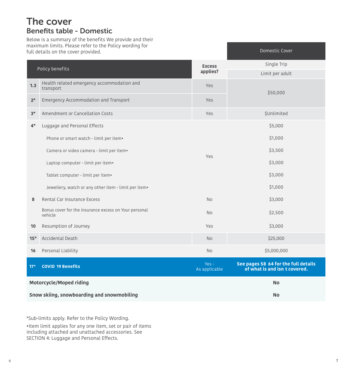## The cover Benefits table - Domestic

Below is a summary of the benefits We provide and their maximum limits. Please refer to the Policy wording for full details on the cover provided.

|                                            | all actails on the cover provided.                               |                           |                                                                       |
|--------------------------------------------|------------------------------------------------------------------|---------------------------|-----------------------------------------------------------------------|
|                                            | Policy benefits                                                  | <b>Excess</b><br>applies? | Single Trip<br>Limit per adult                                        |
| 1.3                                        | Health related emergency accommodation and<br>transport          | Yes                       |                                                                       |
| $2*$                                       | <b>Emergency Accommodation and Transport</b>                     | Yes                       | \$50,000                                                              |
| $3*$                                       | Amendment or Cancellation Costs                                  | Yes                       | <b>\$Unlimited</b>                                                    |
| $4*$                                       | Luggage and Personal Effects                                     |                           | \$5,000                                                               |
|                                            | Phone or smart watch - limit per item.                           |                           | \$1,000                                                               |
|                                            | Camera or video camera - limit per item•                         |                           | \$3,500                                                               |
|                                            | Laptop computer - limit per item.                                | Yes                       | \$3,000                                                               |
|                                            | Tablet computer - limit per item•                                |                           | \$3,000                                                               |
|                                            | Jewellery, watch or any other item - limit per item.             |                           | \$1,000                                                               |
| 8                                          | Rental Car Insurance Excess                                      | <b>No</b>                 | \$3,000                                                               |
|                                            | Bonus cover for the insurance excess on Your personal<br>vehicle | <b>No</b>                 | \$2,500                                                               |
| 10                                         | Resumption of Journey                                            | Yes                       | \$3,000                                                               |
| $15*$                                      | <b>Accidental Death</b>                                          | <b>No</b>                 | \$25,000                                                              |
| 16                                         | Personal Liability                                               | <b>No</b>                 | \$5,000,000                                                           |
| $17*$                                      | <b>COVID 19 Benefits</b>                                         | $Yes -$<br>As applicable  | See pages 58 64 for the full details<br>of what is and isn t covered. |
|                                            | <b>Motorcycle/Moped riding</b>                                   |                           | <b>No</b>                                                             |
| Snow skiing, snowboarding and snowmobiling |                                                                  |                           | No                                                                    |

\*Sub-limits apply. Refer to the Policy Wording.

•Item limit applies for any one item, set or pair of items including attached and unattached accessories. See SECTION 4: Luggage and Personal Efects.

Domestic Cover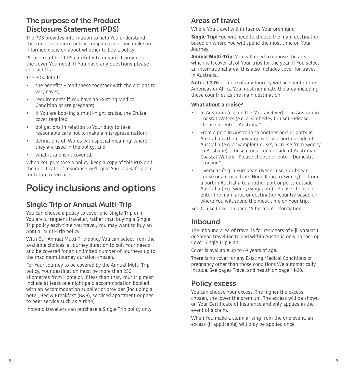## <span id="page-4-0"></span>The purpose of the Product Disclosure Statement (PDS)

The PDS provides information to help You understand this travel insurance policy, compare cover and make an informed decision about whether to buy a policy.

Please read the PDS carefully to ensure it provides the cover You need. If You have any questions please contact Us.

The PDS details:

- the benefits read these together with the options to vary cover;
- requirements if You have an Existing Medical Condition or are pregnant;
- $\bullet$ if You are booking a multi-night cruise, the Cruise cover required;
- $\bullet$ • obligations in relation to Your duty to take reasonable care not to make a misrepresentation;
- $\bullet$ definitions of 'Words with special meaning' where they are used in the policy; and
- what is and isn't covered.

When You purchase a policy, keep a copy of this PDS and the Certifcate of Insurance we'll give You in a safe place for future reference.

## <span id="page-4-1"></span>Policy inclusions and options

## <span id="page-4-2"></span>Single Trip or Annual Multi-Trip

You can choose a policy to cover one Single Trip or, if You are a frequent traveller, rather than buying a Single Trip policy each time You travel, You may want to buy an Annual Multi-Trip policy.

With Our Annual Multi-Trip policy You can select from the available choices, a Journey duration to suit Your needs and be covered for an unlimited number of Journeys up to the maximum Journey duration chosen.

For Your Journey to be covered by the Annual Multi-Trip policy, Your destination must be more than 250 kilometres from Home or, if less than that, Your trip must include at least one night paid accommodation booked with an accommodation supplier or provider (including a hotel, Bed & Breakfast (B&B), serviced apartment or peer to peer service such as Airbnb).

Inbound travellers can purchase a Single Trip policy only.

## <span id="page-4-3"></span>Areas of travel

Where You travel will infuence Your premium.

**Single Trip:** You will need to choose the main destination based on where You will spend the most time on Your Journey.

**Annual Multi-Trip:** You will need to choose the area which will cover all of Your trips for the year. If You select an international area, this also includes cover for travel in Australia.

**Note:** If 20% or more of any Journey will be spent in the Americas or Africa You must nominate the area including these countries as the main destination.

#### **What about a cruise?**

- • In Australia (e.g. on the Murray River) or in Australian Coastal Waters (e.g. a Kimberley Cruise) – Please choose or enter "Australia"
- • From a port in Australia to another port or ports in Australia without any stopover at a port outside of Australia (e.g. a 'Sampler Cruise', a cruise from Sydney to Brisbane) – these cruises go outside of Australian Coastal Waters - Please choose or enter "Domestic Cruising"
- Overseas (e.g. a European river cruise, Caribbean cruise or a cruise from Hong Kong to Sydney) or from a port in Australia to another port or ports outside Australia (e.g. Sydney/Singapore) - Please choose or enter the main area or destination/country based on where You will spend the most time on Your trip.

See Cruise Cover on page [12](#page-6-3) for more information.

## Inbound

 The Inbound area of travel is for residents of Fiji, Vanuatu or Samoa travelling to and within Australia only on the Top Cover Single Trip Plan.

Cover is available up to 69 years of age.

There is no cover for any Existing Medical Conditions or pregnancy other than those conditions We automatically include. See pages [Travel and health on page 14](#page-7-0)[-20.](#page-10-1)

### <span id="page-4-4"></span>Policy excess

You can choose Your excess. The higher the excess chosen, the lower the premium. The excess will be shown on Your Certifcate of Insurance and only applies in the event of a claim.

When You make a claim arising from the one event, an excess (if applicable) will only be applied once.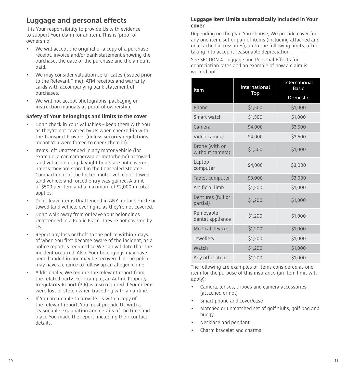## <span id="page-5-0"></span>Luggage and personal effects

It is Your responsibility to provide Us with evidence to support Your claim for an item. This is 'proof of ownership'.

- We will accept the original or a copy of a purchase receipt, invoice and/or bank statement showing the purchase, the date of the purchase and the amount paid.
- We may consider valuation certificates (issued prior to the Relevant Time), ATM receipts and warranty cards with accompanying bank statement of purchases.
- We will not accept photographs, packaging or instruction manuals as proof of ownership.

#### **Safety of Your belongings and limits to the cover**

- Don't check in Your Valuables keep them with You as they're not covered by Us when checked-in with the Transport Provider (unless security regulations meant You were forced to check them in).
- Items left Unattended in any motor vehicle (for example, a car, campervan or motorhome) or towed land vehicle during daylight hours are not covered, unless they are stored in the Concealed Storage Compartment of the locked motor vehicle or towed land vehicle and forced entry was gained. A limit of \$500 per item and a maximum of \$2,000 in total applies.
- Don't leave items Unattended in ANY motor vehicle or towed land vehicle overnight, as they're not covered.
- $\bullet$ • Don't walk away from or leave Your belongings Unattended in a Public Place. They're not covered by Us.
- $\bullet$ • Report any loss or theft to the police within 7 days of when You frst become aware of the incident, as a police report is required so We can validate that the incident occurred. Also, Your belongings may have been handed in and may be recovered or the police may have a chance to follow up an alleged crime.
- Additionally, We require the relevant report from the related party. For example, an Airline Property Irregularity Report (PIR) is also required if Your items were lost or stolen when travelling with an airline.
- If You are unable to provide Us with a copy of the relevant report, You must provide Us with a reasonable explanation and details of the time and place You made the report, including their contact details.

#### **Luggage item limits automatically included in Your cover**

Depending on the plan You choose, We provide cover for any one item, set or pair of items (including attached and unattached accessories), up to the following limits, after taking into account reasonable depreciation.

See SECTION 4: Luggage and Personal Effects for depreciation rates and an example of how a claim is worked out.

| Item                              | International | International<br><b>Basic</b> |
|-----------------------------------|---------------|-------------------------------|
|                                   | Top           | Domestic                      |
| Phone                             | \$1,500       | \$1,000                       |
| Smart watch                       | \$1,500       | \$1,000                       |
| Camera                            | \$4,000       | \$3,500                       |
| Video camera                      | \$4,000       | \$3,500                       |
| Drone (with or<br>without camera) | \$1,500       | \$1,000                       |
| Laptop<br>computer                | \$4,000       | \$3,000                       |
| Tablet computer                   | \$3,000       | \$3,000                       |
| Artificial limb                   | \$1,200       | \$1,000                       |
| Dentures (full or<br>partial)     | \$1,200       | \$1,000                       |
| Removable<br>dental appliance     | \$1,200       | \$1,000                       |
| Medical device                    | \$1,200       | \$1,000                       |
| Jewellery                         | \$1,200       | \$1,000                       |
| Watch                             | \$1,200       | \$1,000                       |
| Any other item                    | \$1,200       | \$1,000                       |

The following are examples of items considered as one item for the purpose of this insurance (an item limit will apply):

- Camera, lenses, tripods and camera accessories (attached or not)
- Smart phone and cover/case
- Matched or unmatched set of golf clubs, golf bag and buggy
- Necklace and pendant
- Charm bracelet and charms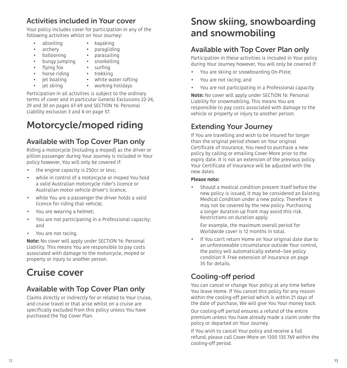## <span id="page-6-1"></span>Activities included in Your cover

Your policy includes cover for participation in any of the following activities whilst on Your Journey:

- $\bullet$ • abseiling • kayaking
- 
- **ballooning** parasailing<br>bungy jumping snorkelling
- bungy jumping snorkelling
- flying fox surfing
- • horse riding trekking
	- iet boating
- jet skiing
- white water rafting

paragliding

• jet skiing • working holidays

Participation in all activities is subject to the ordinary terms of cover and in particular General Exclusions 22-24, 29 and 30 on pages [67-](#page-33-0)[69](#page-34-0) and [SECTION 16: Personal](#page-28-1)  [Liability exclusion 3 and 4 on page 57](#page-28-1).

# <span id="page-6-2"></span>Motorcycle/moped riding

## Available with Top Cover Plan only

Riding a motorcycle (including a moped) as the driver or pillion passenger during Your Journey is included in Your policy however, You will only be covered if:

- the engine capacity is 250cc or less:
- while in control of a motorcycle or moped You hold a valid Australian motorcycle rider's licence or Australian motor vehicle driver's licence;
- while You are a passenger the driver holds a valid licence for riding that vehicle;
- You are wearing a helmet;
- You are not participating in a Professional capacity; and
- You are not racing.

**Note:** No cover will apply under [SECTION 16: Personal](#page-28-1)  [Liability.](#page-28-1) This means You are responsible to pay costs associated with damage to the motorcycle, moped or property or injury to another person.

## <span id="page-6-3"></span>Cruise cover

## Available with Top Cover Plan only

Claims directly or indirectly for or related to Your cruise, and cruise travel or that arise whilst on a cruise are specifcally excluded from this policy unless You have purchased the Top Cover Plan.

## <span id="page-6-4"></span>Snow skiing, snowboarding and snowmobiling

## Available with Top Cover Plan only

Participation in these activities is included in Your policy during Your Journey however, You will only be covered if:

- You are skiing or snowboarding On-Piste;
- You are not racing; and
- You are not participating in a Professional capacity.

**Note:** No cover will apply under [SECTION 16: Personal](#page-28-1)  [Liability](#page-28-1) for snowmobiling. This means You are responsible to pay costs associated with damage to the vehicle or property or injury to another person.

## <span id="page-6-5"></span>Extending Your Journey

If You are travelling and wish to be insured for longer than the original period shown on Your original Certifcate of Insurance, You need to purchase a new policy by calling or emailing Cover-More prior to the expiry date. It is not an extension of the previous policy. Your Certifcate of Insurance will be adjusted with the new dates.

#### **Please note:**

• Should a medical condition present itself before the new policy is issued, it may be considered an Existing Medical Condition under a new policy. Therefore it may not be covered by the new policy. Purchasing a longer duration up front may avoid this risk. Restrictions on duration apply.

For example, the maximum overall period for Worldwide cover is 12 months in total.

 • If You can't return Home on Your original date due to an unforeseeable circumstance outside Your control, the policy will automatically extend—See policy condition [9. Free extension of insurance on page](#page-17-0)  [35](#page-17-0) for details.

## <span id="page-6-0"></span>Cooling-off period

You can cancel or change Your policy at any time before You leave Home. If You cancel this policy for any reason within the cooling-off period which is within 21 days of the date of purchase, We will give You Your money back.

Our cooling-off period ensures a refund of the entire premium unless You have already made a claim under the policy or departed on Your Journey.

If You wish to cancel Your policy and receive a full refund, please call Cover-More on 1300 135 769 within the cooling-off period.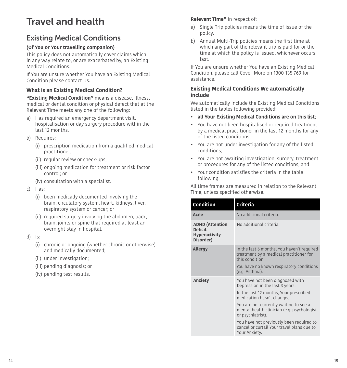## <span id="page-7-0"></span>Travel and health

## <span id="page-7-1"></span>Existing Medical Conditions

#### **(Of You or Your travelling companion)**

This policy does not automatically cover claims which in any way relate to, or are exacerbated by, an Existing Medical Conditions.

If You are unsure whether You have an Existing Medical Condition please contact Us.

#### **What is an Existing Medical Condition?**

**"Existing Medical Condition"** means a disease, illness, medical or dental condition or physical defect that at the Relevant Time meets any one of the following:

- a) Has required an emergency department visit, hospitalisation or day surgery procedure within the last 12 months.
- b) Requires:
	- (i) prescription medication from a qualifed medical practitioner;
	- (ii) regular review or check-ups;
	- (iii) ongoing medication for treatment or risk factor control; or
	- (iv) consultation with a specialist.
- c) Has:
	- (i) been medically documented involving the brain, circulatory system, heart, kidneys, liver, respiratory system or cancer; or
	- (ii) required surgery involving the abdomen, back, brain, joints or spine that required at least an overnight stay in hospital.
- d) Is:
	- (i) chronic or ongoing (whether chronic or otherwise) and medically documented;
	- (ii) under investigation;
	- (iii) pending diagnosis; or
	- (iv) pending test results.

#### **Relevant Time"** in respect of:

- a) Single Trip policies means the time of issue of the policy.
- b) Annual Multi-Trip policies means the first time at which any part of the relevant trip is paid for or the time at which the policy is issued, whichever occurs last.

If You are unsure whether You have an Existing Medical Condition, please call Cover-More on 1300 135 769 for assistance.

#### **Existing Medical Conditions We automatically include**

We automatically include the Existing Medical Conditions listed in the tables following provided:

- **all Your Existing Medical Conditions are on this list**;
- • You have not been hospitalised or required treatment by a medical practitioner in the last 12 months for any of the listed conditions;
- • You are not under investigation for any of the listed conditions;
- • You are not awaiting investigation, surgery, treatment or procedures for any of the listed conditions; and
- Your condition satisfies the criteria in the table following.

All time frames are measured in relation to the Relevant Time, unless specifed otherwise.

| <b>Condition</b>                                                              | Criteria                                                                                                                                                                                                                                                                                                                                                            |
|-------------------------------------------------------------------------------|---------------------------------------------------------------------------------------------------------------------------------------------------------------------------------------------------------------------------------------------------------------------------------------------------------------------------------------------------------------------|
| Acne                                                                          | No additional criteria.                                                                                                                                                                                                                                                                                                                                             |
| <b>ADHD</b> (Attention<br><b>Deficit</b><br><b>Hyperactivity</b><br>Disorder) | No additional criteria.                                                                                                                                                                                                                                                                                                                                             |
| <b>Allergy</b>                                                                | In the last 6 months, You haven't required<br>treatment by a medical practitioner for<br>this condition.<br>You have no known respiratory conditions<br>(e.g. Asthma).                                                                                                                                                                                              |
| <b>Anxiety</b>                                                                | You have not been diagnosed with<br>Depression in the last 3 years.<br>In the last 12 months, Your prescribed<br>medication hasn't changed.<br>You are not currently waiting to see a<br>mental health clinician (e.g. psychologist<br>or psychiatrist).<br>You have not previously been required to<br>cancel or curtail Your travel plans due to<br>Your Anxiety. |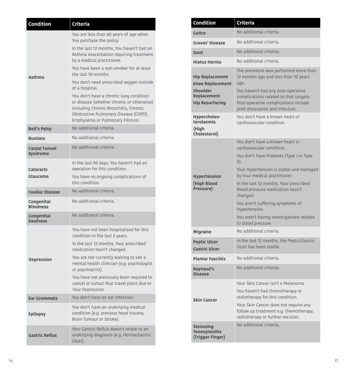| Condition                               | Criteria                                                                                                                                                                                                                                                                                                                                                                                                                                                                                                                               |
|-----------------------------------------|----------------------------------------------------------------------------------------------------------------------------------------------------------------------------------------------------------------------------------------------------------------------------------------------------------------------------------------------------------------------------------------------------------------------------------------------------------------------------------------------------------------------------------------|
| Asthma                                  | You are less than 60 years of age when<br>You purchase the policy.<br>In the last 12 months, You haven't had an<br>Asthma exacerbation requiring treatment<br>by a medical practitioner.<br>You have been a non-smoker for at least<br>the last 18 months.<br>You don't need prescribed oxygen outside<br>of a hospital.<br>You don't have a chronic lung condition<br>or disease (whether chronic or otherwise)<br>including Chronic Bronchitis, Chronic<br>Obstructive Pulmonary Disease (COPD),<br>Emphysema or Pulmonary Fibrosis. |
| <b>Bell's Palsy</b>                     | No additional criteria.                                                                                                                                                                                                                                                                                                                                                                                                                                                                                                                |
| <b>Bunions</b>                          | No additional criteria.                                                                                                                                                                                                                                                                                                                                                                                                                                                                                                                |
| <b>Carpal Tunnel</b><br><b>Syndrome</b> | No additional criteria.                                                                                                                                                                                                                                                                                                                                                                                                                                                                                                                |
| <b>Cataracts</b><br>Glaucoma            | In the last 90 days, You haven't had an<br>operation for this condition.<br>You have no ongoing complications of<br>this condition.                                                                                                                                                                                                                                                                                                                                                                                                    |
| <b>Coeliac Disease</b>                  | No additional criteria.                                                                                                                                                                                                                                                                                                                                                                                                                                                                                                                |
| Congenital<br><b>Blindness</b>          | No additional criteria.                                                                                                                                                                                                                                                                                                                                                                                                                                                                                                                |
| Congenital<br><b>Deafness</b>           | No additional criteria.                                                                                                                                                                                                                                                                                                                                                                                                                                                                                                                |
| Depression                              | You have not been hospitalised for this<br>condition in the last 2 years.<br>In the last 12 months, Your prescribed<br>medication hasn't changed.<br>You are not currently waiting to see a<br>mental health clinician (e.g. psychologist<br>or psychiatrist).<br>You have not previously been required to<br>cancel or curtail Your travel plans due to<br>Your Depression.                                                                                                                                                           |
| <b>Ear Grommets</b>                     | You don't have an ear infection.                                                                                                                                                                                                                                                                                                                                                                                                                                                                                                       |
| <b>Epilepsy</b>                         | You don't have an underlying medical<br>condition (e.g. previous head trauma,<br>Brain Tumour or Stroke).                                                                                                                                                                                                                                                                                                                                                                                                                              |
| <b>Gastric Reflux</b>                   | Your Gastric Reflux doesn't relate to an<br>underlying diagnosis (e.g. Hernia/Gastric<br>Ulcer).                                                                                                                                                                                                                                                                                                                                                                                                                                       |

| <b>Condition</b>                                                                                                                            | <b>Criteria</b>                                                                                                                                                                                                                                                                                                                                                                                                          |
|---------------------------------------------------------------------------------------------------------------------------------------------|--------------------------------------------------------------------------------------------------------------------------------------------------------------------------------------------------------------------------------------------------------------------------------------------------------------------------------------------------------------------------------------------------------------------------|
| Goitre                                                                                                                                      | No additional criteria.                                                                                                                                                                                                                                                                                                                                                                                                  |
| <b>Graves' Disease</b>                                                                                                                      | No additional criteria.                                                                                                                                                                                                                                                                                                                                                                                                  |
| Gout                                                                                                                                        | No additional criteria.                                                                                                                                                                                                                                                                                                                                                                                                  |
| <b>Hiatus Hernia</b>                                                                                                                        | No additional criteria.                                                                                                                                                                                                                                                                                                                                                                                                  |
| <b>Hip Replacement</b><br><b>Knee Replacement</b><br>Shoulder<br><b>Replacement</b><br><b>Hip Resurfacing</b><br>Hypercholes-<br>terolaemia | The procedure was performed more than<br>12 months ago and less than 10 years<br>ago.<br>You haven't had any post-operative<br>complications related to that surgery.<br>Post-operative complications include<br>joint dislocation and infection.<br>You don't have a known heart or<br>cardiovascular condition.                                                                                                        |
| (High<br>Cholesterol)                                                                                                                       |                                                                                                                                                                                                                                                                                                                                                                                                                          |
| <b>Hypertension</b><br>(High Blood<br>Pressure)                                                                                             | You don't have a known heart or<br>cardiovascular condition.<br>You don't have Diabetes (Type I or Type<br>$\vert \vert$ ).<br>Your Hypertension is stable and managed<br>by Your medical practitioner.<br>In the last 12 months, Your prescribed<br>blood pressure medication hasn't<br>changed.<br>You aren't suffering symptoms of<br>Hypertension.<br>You aren't having investigations related<br>to blood pressure. |
| <b>Migraine</b>                                                                                                                             | No additional criteria.                                                                                                                                                                                                                                                                                                                                                                                                  |
| <b>Peptic Ulcer</b><br><b>Gastric Ulcer</b>                                                                                                 | In the last 12 months, the Peptic/Gastric<br>Ulcer has been stable.                                                                                                                                                                                                                                                                                                                                                      |
| <b>Plantar Fasciitis</b>                                                                                                                    | No additional criteria.                                                                                                                                                                                                                                                                                                                                                                                                  |
| Raynaud's<br>Disease                                                                                                                        | No additional criteria.                                                                                                                                                                                                                                                                                                                                                                                                  |
| <b>Skin Cancer</b>                                                                                                                          | Your Skin Cancer isn't a Melanoma.<br>You haven't had chemotherapy or<br>radiotherapy for this condition.<br>Your Skin Cancer does not require any<br>follow up treatment e.g. chemotherapy,<br>radiotherapy or further excision.                                                                                                                                                                                        |
| <b>Stenosing</b><br><b>Tenosynovitis</b><br>(Trigger Finger)                                                                                | No additional criteria.                                                                                                                                                                                                                                                                                                                                                                                                  |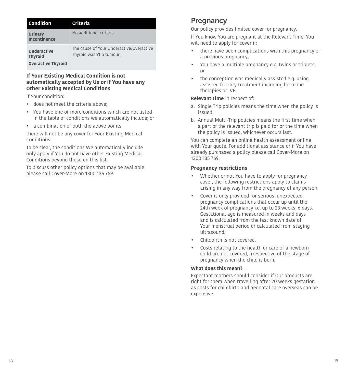| Condition                                                         | <b>Criteria</b>                                                      |
|-------------------------------------------------------------------|----------------------------------------------------------------------|
| Urinary<br>Incontinence                                           | No additional criteria.                                              |
| <b>Underactive</b><br><b>Thyroid</b><br><b>Overactive Thyroid</b> | The cause of Your Underactive/Overactive<br>Thyroid wasn't a tumour. |

#### **If Your Existing Medical Condition is not automatically accepted by Us or if You have any Other Existing Medical Conditions**

If Your condition:

- does not meet the criteria above;
- • You have one or more conditions which are not listed in the table of conditions we automatically include; or
- a combination of both the above points

there will not be any cover for Your Existing Medical Conditions.

To be clear, the conditions We automatically include only apply if You do not have other Existing Medical Conditions beyond those on this list.

To discuss other policy options that may be available please call Cover-More on 1300 135 769.

## <span id="page-9-0"></span>**Pregnancy**

Our policy provides limited cover for pregnancy.

If You know You are pregnant at the Relevant Time, You will need to apply for cover if:

- there have been complications with this pregnancy or a previous pregnancy;
- $\overline{\phantom{a}}$ • You have a multiple pregnancy e.g. twins or triplets; or
- • the conception was medically assisted e.g. using assisted fertility treatment including hormone therapies or IVF.

#### **Relevant Time** in respect of:

- a. Single Trip policies means the time when the policy is issued.
- b. Annual Multi-Trip policies means the frst time when a part of the relevant trip is paid for or the time when the policy is issued, whichever occurs last.

You can complete an online health assessment online with Your quote. For additional assistance or if You have already purchased a policy please call Cover-More on 1300 135 769.

#### **Pregnancy restrictions**

 $\overline{\phantom{a}}$ 

- • Whether or not You have to apply for pregnancy cover, the following restrictions apply to claims arising in any way from the pregnancy of any person.
- Cover is only provided for serious, unexpected pregnancy complications that occur up until the 24th week of pregnancy i.e. up to 23 weeks, 6 days. Gestational age is measured in weeks and days and is calculated from the last known date of Your menstrual period or calculated from staging ultrasound.
- Childbirth is not covered.
- • Costs relating to the health or care of a newborn child are not covered, irrespective of the stage of pregnancy when the child is born.

#### **What does this mean?**

Expectant mothers should consider if Our products are right for them when travelling after 20 weeks gestation as costs for childbirth and neonatal care overseas can be expensive.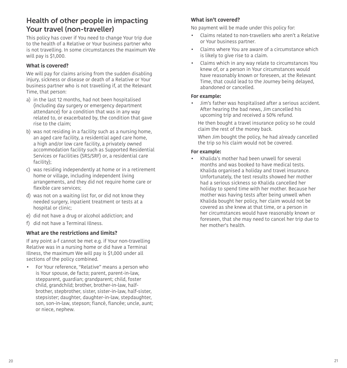### <span id="page-10-1"></span>Health of other people in impacting Your travel (non-traveller)

This policy has cover if You need to change Your trip due to the health of a Relative or Your business partner who is not travelling. In some circumstances the maximum We will pay is \$1,000.

#### **What is covered?**

We will pay for claims arising from the sudden disabling injury, sickness or disease or death of a Relative or Your business partner who is not travelling if, at the Relevant Time, that person:

- a) in the last 12 months, had not been hospitalised (including day surgery or emergency department attendance) for a condition that was in any way related to, or exacerbated by, the condition that gave rise to the claim;
- b) was not residing in a facility such as a nursing home, an aged care facility, a residential aged care home, a high and/or low care facility, a privately owned accommodation facility such as Supported Residential Services or Facilities (SRS/SRF) or, a residential care facility);
- c) was residing independently at home or in a retirement home or village, including independent living arrangements, and they did not require home care or flexible care services;
- d) was not on a waiting list for, or did not know they needed surgery, inpatient treatment or tests at a hospital or clinic;
- e) did not have a drug or alcohol addiction; and
- f) did not have a Terminal Illness.

#### **What are the restrictions and limits?**

If any point a-f cannot be met e.g. if Your non-travelling Relative was in a nursing home or did have a Terminal Illness, the maximum We will pay is \$1,000 under all sections of the policy combined.

• For Your reference, "Relative" means a person who is Your spouse, de facto; parent, parent-in-law, stepparent, guardian; grandparent; child, foster child, grandchild; brother, brother-in-law, halfbrother, stepbrother, sister, sister-in-law, half-sister, stepsister; daughter, daughter-in-law, stepdaughter, son, son-in-law, stepson; fiancé, fiancée; uncle, aunt; or niece, nephew.

#### **What isn't covered?**

No payment will be made under this policy for:

- Claims related to non-travellers who aren't a Relative or Your business partner.
- Claims where You are aware of a circumstance which is likely to give rise to a claim.
- Claims which in any way relate to circumstances You knew of, or a person in Your circumstances would have reasonably known or foreseen, at the Relevant Time, that could lead to the Journey being delayed, abandoned or cancelled.

#### **For example:**

• Jim's father was hospitalised after a serious accident. After hearing the bad news, Jim cancelled his upcoming trip and received a 50% refund.

He then bought a travel insurance policy so he could claim the rest of the money back.

When Jim bought the policy, he had already cancelled the trip so his claim would not be covered.

#### <span id="page-10-0"></span>**For example:**

• Khalida's mother had been unwell for several months and was booked to have medical tests. Khalida organised a holiday and travel insurance. Unfortunately, the test results showed her mother had a serious sickness so Khalida cancelled her holiday to spend time with her mother. Because her mother was having tests after being unwell when Khalida bought her policy, her claim would not be covered as she knew at that time, or a person in her circumstances would have reasonably known or foreseen, that she may need to cancel her trip due to her mother's health.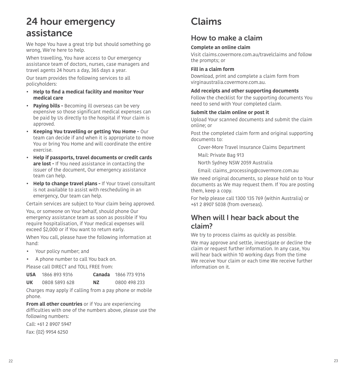## <span id="page-11-0"></span>24 hour emergency assistance

We hope You have a great trip but should something go wrong, We're here to help.

When travelling, You have access to Our emergency assistance team of doctors, nurses, case managers and travel agents 24 hours a day, 365 days a year.

Our team provides the following services to all policyholders:

- • **Help to fnd a medical facility and monitor Your medical care**
- **Paying bills -** Becoming ill overseas can be very expensive so those significant medical expenses can be paid by Us directly to the hospital if Your claim is approved.
- **Keeping You travelling or getting You Home -** Our team can decide if and when it is appropriate to move You or bring You Home and will coordinate the entire exercise.
- **Help if passports, travel documents or credit cards are lost -** If You need assistance in contacting the issuer of the document, Our emergency assistance team can help.
- **Help to change travel plans** If Your travel consultant is not available to assist with rescheduling in an emergency, Our team can help.

Certain services are subject to Your claim being approved.

You, or someone on Your behalf, should phone Our emergency assistance team as soon as possible if You require hospitalisation, if Your medical expenses will exceed \$2,000 or if You want to return early.

When You call, please have the following information at hand:

- Your policy number; and
- A phone number to call You back on.

Please call DIRECT and TOLL FREE from:

| <b>USA</b> | 1866 893 9316 | Canada | 1866 773 9316 |
|------------|---------------|--------|---------------|
| UK         | 0808 5893 628 | ΝZ     | 0800 498 233  |

Charges may apply if calling from a pay phone or mobile phone.

**From all other countries** or if You are experiencing difficulties with one of the numbers above, please use the following numbers:

Call: +61 2 8907 5947 Fax: (02) 9954 6250

## <span id="page-11-1"></span>Claims

### How to make a claim

#### **Complete an online claim**

Visit claims.covermore.com.au/travelclaims and follow the prompts; or

#### **Fill in a claim form**

Download, print and complete a claim form from virginaustralia.covermore.com.au.

#### **Add receipts and other supporting documents**

Follow the checklist for the supporting documents You need to send with Your completed claim.

#### **Submit the claim online or post it**

Upload Your scanned documents and submit the claim online; or

Post the completed claim form and original supporting documents to:

- Cover-More Travel Insurance Claims Department
- Mail: Private Bag 913
- North Sydney NSW 2059 Australia
- Email: claims\_processing@covermore.com.au

We need original documents, so please hold on to Your documents as We may request them. If You are posting them, keep a copy.

For help please call 1300 135 769 (within Australia) or +61 2 8907 5038 (from overseas).

## When will I hear back about the claim?

We try to process claims as quickly as possible.

We may approve and settle, investigate or decline the claim or request further information. In any case, You will hear back within 10 working days from the time We receive Your claim or each time We receive further information on it.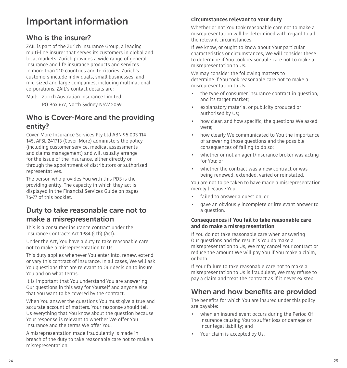## <span id="page-12-0"></span>Important information

## <span id="page-12-1"></span>Who is the insurer?

ZAIL is part of the Zurich Insurance Group, a leading multi-line insurer that serves its customers in global and local markets. Zurich provides a wide range of general insurance and life insurance products and services in more than 210 countries and territories. Zurich's customers include individuals, small businesses, and mid-sized and large companies, including multinational corporations. ZAIL's contact details are:

Mail: Zurich Australian Insurance Limited

PO Box 677, North Sydney NSW 2059

### <span id="page-12-2"></span>Who is Cover-More and the providing entity?

Cover-More Insurance Services Pty Ltd ABN 95 003 114 145, AFSL 241713 (Cover-More) administers the policy (including customer service, medical assessments and claims management) and will usually arrange for the issue of the insurance, either directly or through the appointment of distributors or authorised representatives.

The person who provides You with this PDS is the providing entity. The capacity in which they act is displayed in the Financial Services Guide on pages [76](#page-38-0)[-77](#page-38-1) of this booklet.

## <span id="page-12-4"></span>Duty to take reasonable care not to make a misrepresentation

This is a consumer insurance contract under the Insurance Contracts Act 1984 (Cth) (Act).

Under the Act, You have a duty to take reasonable care not to make a misrepresentation to Us.

This duty applies whenever You enter into, renew, extend or vary this contract of insurance. In all cases, We will ask You questions that are relevant to Our decision to insure You and on what terms.

It is important that You understand You are answering Our questions in this way for Yourself and anyone else that You want to be covered by the contract.

When You answer the questions You must give a true and accurate account of matters. Your response should tell Us everything that You know about the question because Your response is relevant to whether We offer You insurance and the terms We offer You.

A misrepresentation made fraudulently is made in breach of the duty to take reasonable care not to make a misrepresentation.

#### **Circumstances relevant to Your duty**

Whether or not You took reasonable care not to make a misrepresentation will be determined with regard to all the relevant circumstances.

If We know, or ought to know about Your particular characteristics or circumstances, We will consider these to determine if You took reasonable care not to make a misrepresentation to Us.

We may consider the following matters to determine if You took reasonable care not to make a misrepresentation to Us:

- the type of consumer insurance contract in question, and its target market;
- explanatory material or publicity produced or authorised by Us;
- how clear, and how specific, the questions We asked were;
- how clearly We communicated to You the importance of answering those questions and the possible consequences of failing to do so;
- whether or not an agent/insurance broker was acting for You; or
- whether the contract was a new contract or was being renewed, extended, varied or reinstated.

You are not to be taken to have made a misrepresentation merely because You:

- failed to answer a question; or
- gave an obviously incomplete or irrelevant answer to a question.

#### **Consequences if You fail to take reasonable care and do make a misrepresentation**

If You do not take reasonable care when answering Our questions and the result is You do make a misrepresentation to Us, We may cancel Your contract or reduce the amount We will pay You if You make a claim, or both.

<span id="page-12-5"></span>If Your failure to take reasonable care not to make a misrepresentation to Us is fraudulent, We may refuse to pay a claim and treat the contract as if it never existed.

## <span id="page-12-3"></span>When and how benefits are provided

The benefits for which You are insured under this policy are payable:

- when an insured event occurs during the Period Of Insurance causing You to sufer loss or damage or incur legal liability; and
- Your claim is accepted by Us.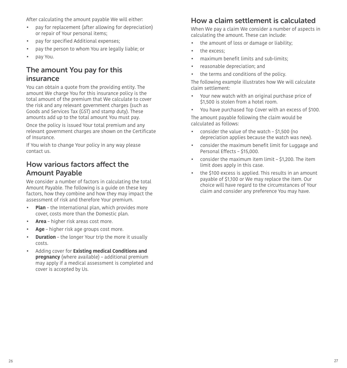After calculating the amount payable We will either:

- pay for replacement (after allowing for depreciation) or repair of Your personal items;
- pay for specifed Additional expenses;
- pay the person to whom You are legally liable; or
- pay You.

## <span id="page-13-1"></span>The amount You pay for this insurance

You can obtain a quote from the providing entity. The amount We charge You for this insurance policy is the total amount of the premium that We calculate to cover the risk and any relevant government charges (such as Goods and Services Tax (GST) and stamp duty). These amounts add up to the total amount You must pay.

Once the policy is issued Your total premium and any relevant government charges are shown on the Certifcate of Insurance.

If You wish to change Your policy in any way please contact us.

## <span id="page-13-2"></span>How various factors affect the Amount Payable

We consider a number of factors in calculating the total Amount Payable. The following is a guide on these key factors, how they combine and how they may impact the assessment of risk and therefore Your premium.

- **Plan** the International plan, which provides more cover, costs more than the Domestic plan.
- **Area** higher risk areas cost more.
- **Age** higher risk age groups cost more.
- **Duration** the longer Your trip the more it usually costs.
- Adding cover for **Existing medical Conditions and pregnancy** (where available) – additional premium may apply if a medical assessment is completed and cover is accepted by Us.

### <span id="page-13-0"></span>How a claim settlement is calculated

When We pay a claim We consider a number of aspects in calculating the amount. These can include:

- the amount of loss or damage or liability;
- the excess:
- maximum benefit limits and sub-limits;
- reasonable depreciation; and
- the terms and conditions of the policy.

The following example illustrates how We will calculate claim settlement:

- Your new watch with an original purchase price of \$1,500 is stolen from a hotel room.
- You have purchased Top Cover with an excess of \$100.

The amount payable following the claim would be calculated as follows:

- consider the value of the watch \$1,500 (no depreciation applies because the watch was new).
- consider the maximum beneft limit for Luggage and Personal Efects – \$15,000.
- consider the maximum item limit \$1,200. The item limit does apply in this case.
- the \$100 excess is applied. This results in an amount payable of \$1,100 or We may replace the item. Our choice will have regard to the circumstances of Your claim and consider any preference You may have.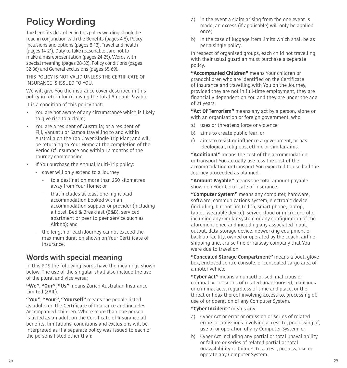## <span id="page-14-0"></span>Policy Wording

The benefts described in this policy wording should be read in conjunction with the Benefits (pages 4-5), Policy inclusions and options (pages [8](#page-4-1)[-13\)](#page-6-0), Travel and health (pages [14](#page-7-0)-[21\)](#page-10-0), Duty to take reasonable care not to make a misrepresentation (pages [24](#page-12-4)[-25\)](#page-12-5), Words with special meaning (pages [28](#page-14-1)[-32](#page-16-0)), Policy conditions (pages [32](#page-16-1)-[36](#page-18-0)) and General exclusions (pages [65](#page-32-0)[-69](#page-34-0)).

THIS POLICY IS NOT VALID UNLESS THE CERTIFICATE OF INSURANCE IS ISSUED TO YOU.

We will give You the insurance cover described in this policy in return for receiving the total Amount Payable.

It is a condition of this policy that:

- You are not aware of any circumstance which is likely to give rise to a claim;
- You are a resident of Australia; or a resident of Fiji, Vanuatu or Samoa travelling to and within Australia on the Top Cover Single Trip Plan; and will be returning to Your Home at the completion of the Period Of Insurance and within 12 months of the Journey commencing.
- If You purchase the Annual Multi-Trip policy:
	- cover will only extend to a Journey
		- to a destination more than 250 kilometres away from Your Home; or
		- that includes at least one night paid accommodation booked with an accommodation supplier or provider (including a hotel, Bed & Breakfast (B&B), serviced apartment or peer to peer service such as Airbnb); and
	- the length of each Journey cannot exceed the maximum duration shown on Your Certifcate of Insurance.

### <span id="page-14-1"></span>Words with special meaning

In this PDS the following words have the meanings shown below. The use of the singular shall also include the use of the plural and vice versa:

**"We"**, **"Our"**, **"Us"** means Zurich Australian Insurance Limited (ZAIL).

**"You"**, **"Your"**, **"Yourself"** means the people listed as adults on the Certifcate of Insurance and includes Accompanied Children. Where more than one person is listed as an adult on the Certificate of Insurance all benefts, limitations, conditions and exclusions will be interpreted as if a separate policy was issued to each of the persons listed other than:

- a) in the event a claim arising from the one event is made, an excess (if applicable) will only be applied once;
- b) in the case of luggage item limits which shall be as per a single policy.

In respect of organised groups, each child not travelling with their usual guardian must purchase a separate policy.

**"Accompanied Children"** means Your children or grandchildren who are identifed on the Certifcate of Insurance and travelling with You on the Journey, provided they are not in full-time employment, they are fnancially dependent on You and they are under the age of 21 years.

**"Act Of Terrorism"** means any act by a person, alone or with an organisation or foreign government, who:

- a) uses or threatens force or violence;
- b) aims to create public fear; or
- c) aims to resist or infuence a government, or has ideological, religious, ethnic or similar aims.

**"Additional"** means the cost of the accommodation or transport You actually use less the cost of the accommodation or transport You expected to use had the Journey proceeded as planned.

**"Amount Payable"** means the total amount payable shown on Your Certificate of Insurance.

**"Computer System"** means any computer, hardware, software, communications system, electronic device (including, but not limited to, smart phone, laptop, tablet, wearable device), server, cloud or microcontroller including any similar system or any configuration of the aforementioned and including any associated input, output, data storage device, networking equipment or back up facility, owned or operated by the coach, airline, shipping line, cruise line or railway company that You were due to travel on.

**"Concealed Storage Compartment"** means a boot, glove box, enclosed centre console, or concealed cargo area of a motor vehicle.

**"Cyber Act"** means an unauthorised, malicious or criminal act or series of related unauthorised, malicious or criminal acts, regardless of time and place, or the threat or hoax thereof involving access to, processing of, use of or operation of any Computer System.

#### **"Cyber Incident"** means any:

- a) Cyber Act or error or omission or series of related errors or omissions involving access to, processing of, use of or operation of any Computer System; or
- b) Cyber Act including any partial or total unavailability or failure or series of related partial or total unavailability or failures to access, process, use or operate any Computer System.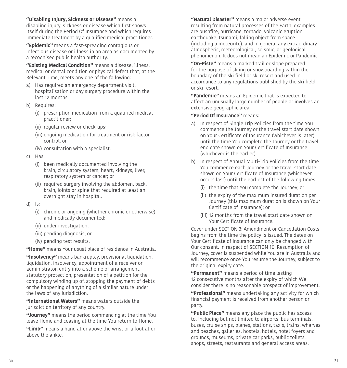**"Disabling Injury, Sickness or Disease"** means a disabling injury, sickness or disease which first shows itself during the Period Of Insurance and which requires immediate treatment by a qualified medical practitioner.

**"Epidemic"** means a fast-spreading contagious or infectious disease or illness in an area as documented by a recognised public health authority.

**"Existing Medical Condition"** means a disease, illness, medical or dental condition or physical defect that, at the Relevant Time, meets any one of the following:

- a) Has required an emergency department visit, hospitalisation or day surgery procedure within the last 12 months.
- b) Requires:
	- (i) prescription medication from a qualifed medical practitioner;
	- (ii) regular review or check-ups;
	- (iii) ongoing medication for treatment or risk factor control; or
	- (iv) consultation with a specialist.
- c) Has:
	- (i) been medically documented involving the brain, circulatory system, heart, kidneys, liver, respiratory system or cancer; or
	- (ii) required surgery involving the abdomen, back, brain, joints or spine that required at least an overnight stay in hospital.
- $d)$  Is:
	- (i) chronic or ongoing (whether chronic or otherwise) and medically documented;
	- (ii) under investigation;
	- (iii) pending diagnosis; or
	- (iv) pending test results.

**"Home"** means Your usual place of residence in Australia.

**"Insolvency"** means bankruptcy, provisional liquidation, liquidation, insolvency, appointment of a receiver or administrator, entry into a scheme of arrangement, statutory protection, presentation of a petition for the compulsory winding up of, stopping the payment of debts or the happening of anything of a similar nature under the laws of any jurisdiction.

**"International Waters"** means waters outside the jurisdiction territory of any country.

**"Journey"** means the period commencing at the time You leave Home and ceasing at the time You return to Home.

**"Limb"** means a hand at or above the wrist or a foot at or above the ankle.

**"Natural Disaster"** means a major adverse event resulting from natural processes of the Earth; examples are bushfre, hurricane, tornado, volcanic eruption, earthquake, tsunami, falling object from space (including a meteorite), and in general any extraordinary atmospheric, meteorological, seismic, or geological phenomenon. It does not mean an Epidemic or Pandemic.

**"On-Piste"** means a marked trail or slope prepared for the purpose of skiing or snowboarding within the boundary of the ski field or ski resort and used in accordance to any regulations published by the ski field or ski resort.

**"Pandemic"** means an Epidemic that is expected to afect an unusually large number of people or involves an extensive geographic area.

#### **"Period Of Insurance"** means:

- a) In respect of Single Trip Policies from the time You commence the Journey or the travel start date shown on Your Certifcate of Insurance (whichever is later) until the time You complete the Journey or the travel end date shown on Your Certifcate of Insurance (whichever is the earlier).
- b) In respect of Annual Multi-Trip Policies from the time You commence each Journey or the travel start date shown on Your Certifcate of Insurance (whichever occurs last) until the earliest of the following times:
	- (i) the time that You complete the Journey; or
	- (ii) the expiry of the maximum insured duration per Journey (this maximum duration is shown on Your Certifcate of Insurance); or
	- (iii) 12 months from the travel start date shown on Your Certifcate of Insurance.

Cover under [SECTION 3: Amendment or Cancellation Costs](#page-20-0)  begins from the time the policy is issued. The dates on Your Certificate of Insurance can only be changed with Our consent. In respect of SECTION 10: Resumption of Journey, cover is suspended while You are in Australia and will recommence once You resume the Journey, subject to the original expiry date.

**"Permanent"** means a period of time lasting 12 consecutive months after the expiry of which We consider there is no reasonable prospect of improvement.

**"Professional"** means undertaking any activity for which fnancial payment is received from another person or party.

**"Public Place"** means any place the public has access to, including but not limited to airports, bus terminals, buses, cruise ships, planes, stations, taxis, trains, wharves and beaches, galleries, hostels, hotels, hotel foyers and grounds, museums, private car parks, public toilets, shops, streets, restaurants and general access areas.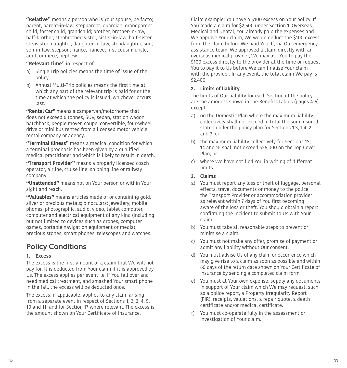**"Relative"** means a person who is Your spouse, de facto; parent, parent-in-law, stepparent, guardian; grandparent; child, foster child, grandchild; brother, brother-in-law, half-brother, stepbrother, sister, sister-in-law, half-sister, stepsister; daughter, daughter-in-law, stepdaughter, son, son-in-law, stepson; fiancé, fiancée; first cousin; uncle, aunt; or niece, nephew.

**"Relevant Time"** in respect of:

- a) Single Trip policies means the time of issue of the policy.
- b) Annual Multi-Trip policies means the first time at which any part of the relevant trip is paid for or the time at which the policy is issued, whichever occurs last.

**"Rental Car"** means a campervan/motorhome that does not exceed 6 tonnes, SUV, sedan, station wagon, hatchback, people mover, coupe, convertible, four-wheel drive or mini bus rented from a licensed motor vehicle rental company or agency.

**"Terminal Illness"** means a medical condition for which a terminal prognosis has been given by a qualifed medical practitioner and which is likely to result in death.

**"Transport Provider"** means a properly licensed coach operator, airline, cruise line, shipping line or railway company.

**"Unattended"** means not on Your person or within Your sight and reach.

<span id="page-16-0"></span>**"Valuables"** means articles made of or containing gold, silver or precious metals; binoculars; jewellery; mobile phones; photographic, audio, video, tablet computer, computer and electrical equipment of any kind (including but not limited to devices such as drones, computer games, portable navigation equipment or media); precious stones; smart phones; telescopes and watches.

## <span id="page-16-1"></span>Policy Conditions

#### **1. Excess**

The excess is the frst amount of a claim that We will not pay for. It is deducted from Your claim if it is approved by Us. The excess applies per event i.e. If You fall over and need medical treatment, and smashed Your smart phone in the fall, the excess will be deducted once.

The excess, if applicable, applies to any claim arising from a separate event in respect of Sections 1, 2, 3, 4, 5, 10 and 11, and for Section 17 where relevant. The excess is the amount shown on Your Certifcate of Insurance.

Claim example: You have a \$100 excess on Your policy. If You made a claim for \$2,500 under Section 1: Overseas Medical and Dental, You already paid the expenses and We approve Your claim, We would deduct the \$100 excess from the claim before We paid You. If, via Our emergency assistance team, We approved a claim directly with an overseas medical provider, We may ask You to pay the \$100 excess directly to the provider at the time or request You to pay it to Us before We can fnalise Your claim with the provider. In any event, the total claim We pay is \$2,400.

#### **2. Limits of liability**

The limits of Our liability for each Section of the policy are the amounts shown in the Benefts tables (pages 4-5) except:

- a) on the Domestic Plan where the maximum liability collectively shall not exceed in total the sum insured stated under the policy plan for Sections 1.3, 1.4, 2 and 3; or
- b) the maximum liability collectively for Sections 13, 14 and 15 shall not exceed \$25,000 on the Top Cover Plan; or
- c) where We have notified You in writing of different limits.

#### **3. Claims**

- a) You must report any loss or theft of luggage, personal efects, travel documents or money to the police, the Transport Provider or accommodation provider as relevant within 7 days of You first becoming aware of the loss or theft. You should obtain a report confrming the incident to submit to Us with Your claim.
- b) You must take all reasonable steps to prevent or minimise a claim.
- c) You must not make any offer, promise of payment or admit any liability without Our consent.
- d) You must advise Us of any claim or occurrence which may give rise to a claim as soon as possible and within 60 days of the return date shown on Your Certifcate of Insurance by sending a completed claim form.
- e) You must at Your own expense, supply any documents in support of Your claim which We may request, such as a police report, a Property Irregularity Report (PIR), receipts, valuations, a repair quote, a death certificate and/or medical certificate.
- f) You must co-operate fully in the assessment or investigation of Your claim.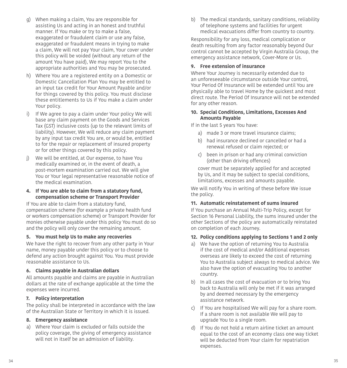- g) When making a claim, You are responsible for assisting Us and acting in an honest and truthful manner. If You make or try to make a false, exaggerated or fraudulent claim or use any false, exaggerated or fraudulent means in trying to make a claim, We will not pay Your claim, Your cover under this policy will be voided (without any return of the amount You have paid), We may report You to the appropriate authorities and You may be prosecuted.
- h) Where You are a registered entity on a Domestic or Domestic Cancellation Plan You may be entitled to an input tax credit for Your Amount Payable and/or for things covered by this policy. You must disclose these entitlements to Us if You make a claim under Your policy.
- i) If We agree to pay a claim under Your policy We will base any claim payment on the Goods and Services Tax (GST) inclusive costs (up to the relevant limits of liability). However, We will reduce any claim payment by any input tax credit You are, or would be, entitled to for the repair or replacement of insured property or for other things covered by this policy.
- j) We will be entitled, at Our expense, to have You medically examined or, in the event of death, a post-mortem examination carried out. We will give You or Your legal representative reasonable notice of the medical examination.

#### **4. If You are able to claim from a statutory fund, compensation scheme or Transport Provider**

If You are able to claim from a statutory fund, compensation scheme (for example a private health fund or workers compensation scheme) or Transport Provider for monies otherwise payable under this policy You must do so and the policy will only cover the remaining amount.

#### **5. You must help Us to make any recoveries**

We have the right to recover from any other party in Your name, money payable under this policy or to choose to defend any action brought against You. You must provide reasonable assistance to Us.

#### **6. Claims payable in Australian dollars**

All amounts payable and claims are payable in Australian dollars at the rate of exchange applicable at the time the expenses were incurred.

#### **7. Policy interpretation**

The policy shall be interpreted in accordance with the law of the Australian State or Territory in which it is issued.

#### **8. Emergency assistance**

a) Where Your claim is excluded or falls outside the policy coverage, the giving of emergency assistance will not in itself be an admission of liability.

b) The medical standards, sanitary conditions, reliability of telephone systems and facilities for urgent medical evacuations difer from country to country.

Responsibility for any loss, medical complication or death resulting from any factor reasonably beyond Our control cannot be accepted by Virgin Australia Group, the emergency assistance network, Cover-More or Us.

#### <span id="page-17-0"></span>**9. Free extension of insurance**

Where Your Journey is necessarily extended due to an unforeseeable circumstance outside Your control, Your Period Of Insurance will be extended until You are physically able to travel Home by the quickest and most direct route. The Period Of Insurance will not be extended for any other reason.

#### **10. Special Conditions, Limitations, Excesses And Amounts Payable**

If in the last 5 years You have:

- a) made 3 or more travel insurance claims;
- b) had insurance declined or cancelled or had a renewal refused or claim rejected; or
- c) been in prison or had any criminal conviction (other than driving offences)

cover must be separately applied for and accepted by Us, and it may be subject to special conditions, limitations, excesses and amounts payable.

We will notify You in writing of these before We issue the policy.

#### **11. Automatic reinstatement of sums insured**

If You purchase an Annual Multi-Trip Policy, except for Section 16 Personal Liability, the sums insured under the other Sections of the policy are automatically reinstated on completion of each Journey.

#### **12. Policy conditions applying to Sections 1 and 2 only**

- a) We have the option of returning You to Australia if the cost of medical and/or Additional expenses overseas are likely to exceed the cost of returning You to Australia subject always to medical advice. We also have the option of evacuating You to another country.
- b) In all cases the cost of evacuation or to bring You back to Australia will only be met if it was arranged by and deemed necessary by the emergency assistance network.
- c) If You are hospitalised We will pay for a share room. If a share room is not available We will pay to upgrade You to a single room.
- d) If You do not hold a return airline ticket an amount equal to the cost of an economy class one way ticket will be deducted from Your claim for repatriation expenses.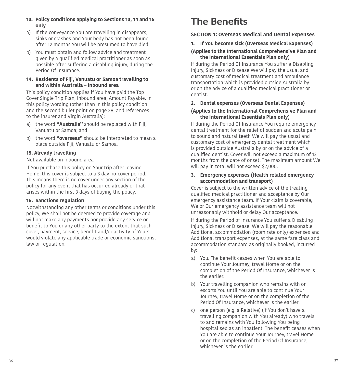#### **13. Policy conditions applying to Sections 13, 14 and 15 only**

- a) If the conveyance You are travelling in disappears, sinks or crashes and Your body has not been found after 12 months You will be presumed to have died.
- b) You must obtain and follow advice and treatment given by a qualifed medical practitioner as soon as possible after suffering a disabling injury, during the Period Of Insurance.

#### **14. Residents of Fiji, Vanuatu or Samoa travelling to and within Australia – Inbound area**

This policy condition applies if You have paid the Top Cover Single Trip Plan, Inbound area, Amount Payable. In this policy wording (other than in this policy condition and the second bullet point on page [28,](#page-14-0) and references to the insurer and Virgin Australia):

- a) the word **"Australia"** should be replaced with Fiji, Vanuatu or Samoa; and
- b) the word **"overseas"** should be interpreted to mean a place outside Fiji, Vanuatu or Samoa.

#### **15. Already travelling**

#### Not available on Inbound area

If You purchase this policy on Your trip after leaving Home, this cover is subject to a 3 day no-cover period. This means there is no cover under any section of the policy for any event that has occurred already or that arises within the first 3 days of buying the policy.

#### **16. Sanctions regulation**

<span id="page-18-0"></span>Notwithstanding any other terms or conditions under this policy, We shall not be deemed to provide coverage and will not make any payments nor provide any service or benefit to You or any other party to the extent that such cover, payment, service, benefit and/or activity of Yours would violate any applicable trade or economic sanctions, law or regulation.

## <span id="page-18-1"></span>The Benefits

#### **SECTION 1: Overseas Medical and Dental Expenses**

#### **1. If You become sick (Overseas Medical Expenses)**

#### **(Applies to the International Comprehensive Plan and the International Essentials Plan only)**

If during the Period Of Insurance You sufer a Disabling Injury, Sickness or Disease We will pay the usual and customary cost of medical treatment and ambulance transportation which is provided outside Australia by or on the advice of a qualifed medical practitioner or dentist.

#### **2. Dental expenses (Overseas Dental Expenses)**

#### **(Applies to the International Comprehensive Plan and the International Essentials Plan only)**

If during the Period Of Insurance You require emergency dental treatment for the relief of sudden and acute pain to sound and natural teeth We will pay the usual and customary cost of emergency dental treatment which is provided outside Australia by or on the advice of a qualifed dentist. Cover will not exceed a maximum of 12 months from the date of onset. The maximum amount We will pay in total will not exceed \$2,000.

#### **3. Emergency expenses (Health related emergency accommodation and transport)**

Cover is subject to the written advice of the treating qualifed medical practitioner and acceptance by Our emergency assistance team. If Your claim is coverable, We or Our emergency assistance team will not unreasonably withhold or delay Our acceptance.

If during the Period of Insurance You suffer a Disabling Injury, Sickness or Disease, We will pay the reasonable Additional accommodation (room rate only) expenses and Additional transport expenses, at the same fare class and accommodation standard as originally booked, incurred by:

- a) You. The benefit ceases when You are able to continue Your Journey, travel Home or on the completion of the Period Of Insurance, whichever is the earlier.
- b) Your travelling companion who remains with or escorts You until You are able to continue Your Journey, travel Home or on the completion of the Period Of Insurance, whichever is the earlier.
- c) one person (e.g. a Relative) (if You don't have a travelling companion with You already) who travels to and remains with You following You being hospitalised as an inpatient. The benefit ceases when You are able to continue Your Journey, travel Home or on the completion of the Period Of Insurance, whichever is the earlier.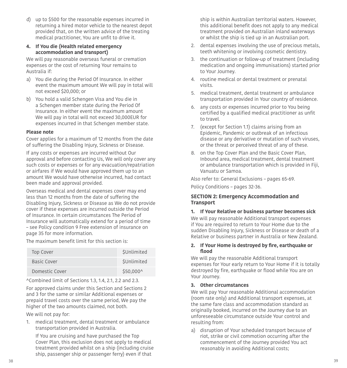d) up to \$500 for the reasonable expenses incurred in returning a hired motor vehicle to the nearest depot provided that, on the written advice of the treating medical practitioner, You are unfit to drive it.

#### **4. If You die (Health related emergency accommodation and transport)**

We will pay reasonable overseas funeral or cremation expenses or the cost of returning Your remains to Australia if:

- a) You die during the Period Of Insurance. In either event the maximum amount We will pay in total will not exceed \$20,000; or
- b) You hold a valid Schengen Visa and You die in a Schengen member state during the Period Of Insurance. In either event the maximum amount We will pay in total will not exceed 30,000EUR for expenses incurred in that Schengen member state.

#### **Please note**

Cover applies for a maximum of 12 months from the date of sufering the Disabling Injury, Sickness or Disease.

If any costs or expenses are incurred without Our approval and before contacting Us, We will only cover any such costs or expenses or for any evacuation/repatriation or airfares if We would have approved them up to an amount We would have otherwise incurred, had contact been made and approval provided.

Overseas medical and dental expenses cover may end less than 12 months from the date of sufering the Disabling Injury, Sickness or Disease as We do not provide cover if these expenses are incurred outside the Period of Insurance. In certain circumstances The Period of Insurance will automatically extend for a period of time – see Policy condition 9 Free extension of insurance on page [35](#page-17-0) for more information.

The maximum benefit limit for this section is:

| Top Cover      | SUnlimited |
|----------------|------------|
| Basic Cover    | SUnlimited |
| Domestic Cover | \$50,000^  |

^Combined limit of Sections 1.3, 1.4, 2.1, 2.2 and 2.3.

For approved claims under this Section and Sections 2 and 3 for the same or similar Additional expenses or prepaid travel costs over the same period, We pay the higher of the two amounts claimed, not both.

We will not pay for:

 1. medical treatment, dental treatment or ambulance transportation provided in Australia.

If You are cruising and have purchased the Top Cover Plan, this exclusion does not apply to medical treatment provided whilst on a ship (including cruise ship, passenger ship or passenger ferry) even if that

ship is within Australian territorial waters. However, this additional benefit does not apply to any medical treatment provided on Australian inland waterways or whilst the ship is tied up in an Australian port.

- 2. dental expenses involving the use of precious metals, teeth whitening or involving cosmetic dentistry.
- 3. the continuation or follow-up of treatment (including medication and ongoing immunisations) started prior to Your Journey.
- 4. routine medical or dental treatment or prenatal visits.
- 5. medical treatment, dental treatment or ambulance transportation provided in Your country of residence.
- 6. any costs or expenses incurred prior to You being certified by a qualified medical practitioner as unfit to travel.
- 7. (except for Section 1.1) claims arising from an Epidemic, Pandemic or outbreak of an infectious disease or any derivative or mutation of such viruses, or the threat or perceived threat of any of these.
- 8. on the Top Cover Plan and the Basic Cover Plan, Inbound area, medical treatment, dental treatment or ambulance transportation which is provided in Fiji, Vanuatu or Samoa.

Also refer to: General Exclusions – pages [65](#page-32-0)[-69.](#page-34-0)

Policy Conditions – pages [32](#page-16-1)-[36](#page-18-0).

#### **SECTION 2: Emergency Accommodation and Transport**

#### **1. If Your Relative or business partner becomes sick**

We will pay reasonable Additional transport expenses if You are required to return to Your Home due to the sudden Disabling Injury, Sickness or Disease or death of a Relative or business partner in Australia or New Zealand.

#### **2. If Your Home is destroyed by fre, earthquake or food**

We will pay the reasonable Additional transport expenses for Your early return to Your Home if it is totally destroyed by fire, earthquake or flood while You are on Your Journey.

#### **3. Other circumstances**

We will pay Your reasonable Additional accommodation (room rate only) and Additional transport expenses, at the same fare class and accommodation standard as originally booked, incurred on the Journey due to an unforeseeable circumstance outside Your control and resulting from:

 a) disruption of Your scheduled transport because of riot, strike or civil commotion occurring after the commencement of the Journey provided You act reasonably in avoiding Additional costs;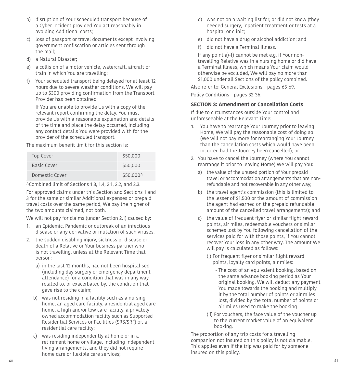- b) disruption of Your scheduled transport because of a Cyber Incident provided You act reasonably in avoiding Additional costs;
- c) loss of passport or travel documents except involving government confscation or articles sent through the mail;
- d) a Natural Disaster;
- e) a collision of a motor vehicle, watercraft, aircraft or train in which You are travelling;
- $f$ ) Your scheduled transport being delayed for at least 12 hours due to severe weather conditions. We will pay up to \$300 providing confrmation from the Transport Provider has been obtained.

If You are unable to provide Us with a copy of the relevant report confirming the delay, You must provide Us with a reasonable explanation and details of the time and place the delay occurred, including any contact details You were provided with for the provider of the scheduled transport.

The maximum benefit limit for this section is:

| <b>Top Cover</b> | \$50,000  |
|------------------|-----------|
| Basic Cover      | \$50,000  |
| Domestic Cover   | \$50,000^ |

^Combined limit of Sections 1.3, 1.4, 2.1, 2.2, and 2.3.

For approved claims under this Section and Sections 1 and 3 for the same or similar Additional expenses or prepaid travel costs over the same period, We pay the higher of the two amounts claimed, not both.

We will not pay for claims (under Section 2.1) caused by:

- <span id="page-20-1"></span>1. an Epidemic, Pandemic or outbreak of an infectious disease or any derivative or mutation of such viruses.
- 2. the sudden disabling injury, sickness or disease or death of a Relative or Your business partner who is not travelling, unless at the Relevant Time that person:
	- a) in the last 12 months, had not been hospitalised (including day surgery or emergency department attendance) for a condition that was in any way related to, or exacerbated by, the condition that gave rise to the claim;
	- b) was not residing in a facility such as a nursing home, an aged care facility, a residential aged care home, a high and/or low care facility, a privately owned accommodation facility such as Supported Residential Services or Facilities (SRS/SRF) or, a residential care facility;
	- c) was residing independently at home or in a retirement home or village, including independent living arrangements, and they did not require home care or flexible care services:
- d) was not on a waiting list for, or did not know (they needed surgery, inpatient treatment or tests at a hospital or clinic;
- e) did not have a drug or alcohol addiction; and
- f) did not have a Terminal Illness.

If any point a)-f) cannot be met e.g. if Your nontravelling Relative was in a nursing home or did have a Terminal Illness, which means Your claim would otherwise be excluded, We will pay no more than \$1,000 under all Sections of the policy combined.

Also refer to: General Exclusions – pages [65](#page-32-0)[-69.](#page-34-0) Policy Conditions – pages [32](#page-16-1)-[36](#page-18-0).

#### <span id="page-20-0"></span>**SECTION 3: Amendment or Cancellation Costs**

If due to circumstances outside Your control and unforeseeable at the Relevant Time:

- 1. You have to rearrange Your Journey prior to leaving Home, We will pay the reasonable cost of doing so (We will not pay more for rearranging Your Journey than the cancellation costs which would have been incurred had the Journey been cancelled); or
- 2. You have to cancel the Journey (where You cannot rearrange it prior to leaving Home) We will pay You:
	- a) the value of the unused portion of Your prepaid travel or accommodation arrangements that are nonrefundable and not recoverable in any other way;
	- b) the travel agent's commission (this is limited to the lesser of \$1,500 or the amount of commission the agent had earned on the prepaid refundable amount of the cancelled travel arrangements); and
	- c) the value of frequent flyer or similar flight reward points, air miles, redeemable vouchers or similar schemes lost by You following cancellation of the services paid for with those points, if You cannot recover Your loss in any other way. The amount We will pay is calculated as follows:
		- (i) For frequent flyer or similar flight reward points, loyalty card points, air miles:
			- The cost of an equivalent booking, based on the same advance booking period as Your original booking. We will deduct any payment You made towards the booking and multiply it by the total number of points or air miles lost, divided by the total number of points or air miles used to make the booking
		- (ii) For vouchers, the face value of the voucher up to the current market value of an equivalent booking.

The proportion of any trip costs for a travelling companion not insured on this policy is not claimable. This applies even if the trip was paid for by someone insured on this policy.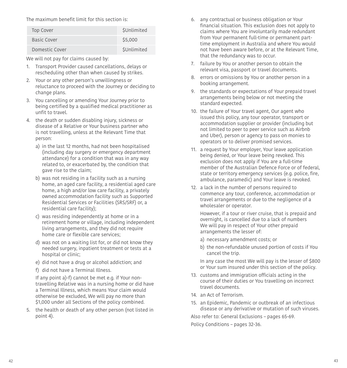The maximum benefit limit for this section is:

| <b>Top Cover</b> | <b>\$Unlimited</b> |
|------------------|--------------------|
| Basic Cover      | \$5,000            |
| Domestic Cover   | SUnlimited         |

We will not pay for claims caused by:

- 1. Transport Provider caused cancellations, delays or rescheduling other than when caused by strikes.
- 2. Your or any other person's unwillingness or reluctance to proceed with the Journey or deciding to change plans.
- 3. You cancelling or amending Your Journey prior to being certifed by a qualifed medical practitioner as unfit to travel.
- <span id="page-21-1"></span>4. the death or sudden disabling injury, sickness or disease of a Relative or Your business partner who is not travelling, unless at the Relevant Time that person:
	- a) in the last 12 months, had not been hospitalised (including day surgery or emergency department attendance) for a condition that was in any way related to, or exacerbated by, the condition that gave rise to the claim;
	- b) was not residing in a facility such as a nursing home, an aged care facility, a residential aged care home, a high and/or low care facility, a privately owned accommodation facility such as Supported Residential Services or Facilities (SRS/SRF) or, a residential care facility);
	- c) was residing independently at home or in a retirement home or village, including independent living arrangements, and they did not require home care or flexible care services:
	- d) was not on a waiting list for, or did not know they needed surgery, inpatient treatment or tests at a hospital or clinic;
	- e) did not have a drug or alcohol addiction; and
	- f) did not have a Terminal Illness.

If any point a)-f) cannot be met e.g. if Your nontravelling Relative was in a nursing home or did have a Terminal Illness, which means Your claim would otherwise be excluded, We will pay no more than \$1,000 under all Sections of the policy combined.

5. the health or death of any other person (not listed in point 4).

- 6. any contractual or business obligation or Your fnancial situation. This exclusion does not apply to claims where You are involuntarily made redundant from Your permanent full-time or permanent parttime employment in Australia and where You would not have been aware before, or at the Relevant Time, that the redundancy was to occur.
- 7. failure by You or another person to obtain the relevant visa, passport or travel documents.
- 8. errors or omissions by You or another person in a booking arrangement.
- 9. the standards or expectations of Your prepaid travel arrangements being below or not meeting the standard expected.
- 10. the failure of Your travel agent, Our agent who issued this policy, any tour operator, transport or accommodation supplier or provider (including but not limited to peer to peer service such as Airbnb and Uber), person or agency to pass on monies to operators or to deliver promised services.
- 11. a request by Your employer, Your leave application being denied, or Your leave being revoked. This exclusion does not apply if You are a full-time member of the Australian Defence Force or of federal, state or territory emergency services (e.g. police, fire, ambulance, paramedic) and Your leave is revoked.
- 12. a lack in the number of persons required to commence any tour, conference, accommodation or travel arrangements or due to the negligence of a wholesaler or operator.

However, if a tour or river cruise, that is prepaid and overnight, is cancelled due to a lack of numbers We will pay in respect of Your other prepaid arrangements the lesser of:

- a) necessary amendment costs; or
- b) the non-refundable unused portion of costs if You cancel the trip.

In any case the most We will pay is the lesser of \$800 or Your sum insured under this section of the policy.

- 13. customs and immigration officials acting in the course of their duties or You travelling on incorrect travel documents.
- 14. an Act of Terrorism.
- <span id="page-21-0"></span>15. an Epidemic, Pandemic or outbreak of an infectious disease or any derivative or mutation of such viruses.

Also refer to: General Exclusions – pages [65](#page-32-0)[-69.](#page-34-0)

Policy Conditions – pages [32](#page-16-1)-[36](#page-18-0).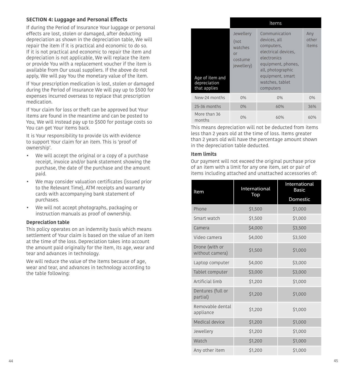#### <span id="page-22-0"></span>**SECTION 4: Luggage and Personal Efects**

If during the Period of Insurance Your luggage or personal efects are lost, stolen or damaged, after deducting depreciation as shown in the depreciation table, We will repair the item if it is practical and economic to do so. If it is not practical and economic to repair the item and depreciation is not applicable, We will replace the item or provide You with a replacement voucher if the item is available from Our usual suppliers. If the above do not apply, We will pay You the monetary value of the item.

If Your prescription medication is lost, stolen or damaged during the Period of Insurance We will pay up to \$500 for expenses incurred overseas to replace that prescription medication.

If Your claim for loss or theft can be approved but Your items are found in the meantime and can be posted to You, We will instead pay up to \$500 for postage costs so You can get Your items back.

It is Your responsibility to provide Us with evidence to support Your claim for an item. This is 'proof of ownership'.

- We will accept the original or a copy of a purchase receipt, invoice and/or bank statement showing the purchase, the date of the purchase and the amount paid.
- We may consider valuation certificates (issued prior to the Relevant Time), ATM receipts and warranty cards with accompanying bank statement of purchases.
- We will not accept photographs, packaging or instruction manuals as proof of ownership.

#### **Depreciation table**

This policy operates on an indemnity basis which means settlement of Your claim is based on the value of an item at the time of the loss. Depreciation takes into account the amount paid originally for the item, its age, wear and tear and advances in technology.

We will reduce the value of the items because of age, wear and tear, and advances in technology according to the table following:

|                                                 |                                                             | Items                                                                                                                                                                            |                       |
|-------------------------------------------------|-------------------------------------------------------------|----------------------------------------------------------------------------------------------------------------------------------------------------------------------------------|-----------------------|
| Age of item and<br>depreciation<br>that applies | Jewellery<br>(not<br>watches<br>or<br>costume<br>jewellery) | Communication<br>devices, all<br>computers,<br>electrical devices,<br>electronics<br>equipment, phones,<br>all, photographic<br>equipment, smart<br>watches, tablet<br>computers | Any<br>other<br>items |
| New-24 months                                   | 0%                                                          | 0%                                                                                                                                                                               | 0%                    |
| 25-36 months                                    | $0\%$                                                       | 60%                                                                                                                                                                              | 36%                   |
| More than 36<br>months                          | 0%                                                          | 60%                                                                                                                                                                              | 60%                   |

This means depreciation will not be deducted from items less than 2 years old at the time of loss. Items greater than 2 years old will have the percentage amount shown in the depreciation table deducted.

#### **Item limits**

Our payment will not exceed the original purchase price of an item with a limit for any one item, set or pair of items including attached and unattached accessories of:

| Item                              | International | International<br><b>Basic</b> |
|-----------------------------------|---------------|-------------------------------|
|                                   | Top           |                               |
| Phone                             | \$1,500       | \$1,000                       |
| Smart watch                       | \$1,500       | \$1,000                       |
| Camera                            | \$4,000       | \$3,500                       |
| Video camera                      | \$4,000       | \$3,500                       |
| Drone (with or<br>without camera) | \$1,500       | \$1,000                       |
| Laptop computer                   | \$4,000       | \$3,000                       |
| Tablet computer                   | \$3,000       | \$3,000                       |
| Artificial limb                   | \$1,200       | \$1,000                       |
| Dentures (full or<br>partial)     | \$1,200       | \$1,000                       |
| Removable dental<br>appliance     | \$1,200       | \$1,000                       |
| Medical device                    | \$1,200       | \$1,000                       |
| Jewellery                         | \$1,200       | \$1,000                       |
| Watch                             | \$1,200       | \$1,000                       |
| Any other item                    | \$1,200       | \$1,000                       |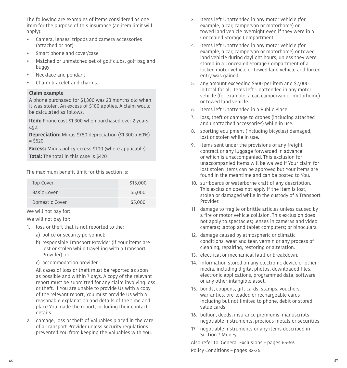The following are examples of items considered as one item for the purpose of this insurance (an item limit will apply):

- Camera, lenses, tripods and camera accessories (attached or not)
- Smart phone and cover/case
- Matched or unmatched set of golf clubs, golf bag and buggy
- Necklace and pendant
- Charm bracelet and charms.

#### **Claim example**

A phone purchased for \$1,300 was 28 months old when it was stolen. An excess of \$100 applies. A claim would be calculated as follows.

**Item:** Phone cost \$1,300 when purchased over 2 years ago.

**Depreciation:** Minus \$780 depreciation (\$1,300 x 60%)  $= $520$ 

**Excess:** Minus policy excess \$100 (where applicable) **Total:** The total in this case is \$420

The maximum benefit limit for this section is:

| Top Cover      | \$15,000 |
|----------------|----------|
| Basic Cover    | \$5,000  |
| Domestic Cover | \$5,000  |

We will not pay for:

We will not pay for:

- 1. loss or theft that is not reported to the:
	- a) police or security personnel;
	- b) responsible Transport Provider (if Your items are lost or stolen while travelling with a Transport Provider); or
	- c) accommodation provider.

All cases of loss or theft must be reported as soon as possible and within 7 days. A copy of the relevant report must be submitted for any claim involving loss or theft. If You are unable to provide Us with a copy of the relevant report, You must provide Us with a reasonable explanation and details of the time and place You made the report, including their contact details.

 2. damage, loss or theft of Valuables placed in the care of a Transport Provider unless security regulations prevented You from keeping the Valuables with You.

- 3. items left Unattended in any motor vehicle (for example, a car, campervan or motorhome) or towed land vehicle overnight even if they were in a Concealed Storage Compartment.
- 4. items left Unattended in any motor vehicle (for example, a car, campervan or motorhome) or towed land vehicle during daylight hours, unless they were stored in a Concealed Storage Compartment of a locked motor vehicle or towed land vehicle and forced entry was gained.
- 5. any amount exceeding \$500 per item and \$2,000 in total for all items left Unattended in any motor vehicle (for example, a car, campervan or motorhome) or towed land vehicle.
- 6. items left Unattended in a Public Place.
- 7. loss, theft or damage to drones (including attached and unattached accessories) while in use.
- 8. sporting equipment (including bicycles) damaged, lost or stolen while in use.
- 9. items sent under the provisions of any freight contract or any luggage forwarded in advance or which is unaccompanied. This exclusion for unaccompanied items will be waived if Your claim for lost stolen items can be approved but Your items are found in the meantime and can be posted to You.
- 10. surfboards or waterborne craft of any description. This exclusion does not apply if the item is lost, stolen or damaged while in the custody of a Transport Provider.
- 11. damage to fragile or brittle articles unless caused by a fire or motor vehicle collision. This exclusion does not apply to spectacles; lenses in cameras and video cameras; laptop and tablet computers; or binoculars.
- 12. damage caused by atmospheric or climatic conditions, wear and tear, vermin or any process of cleaning, repairing, restoring or alteration.
- 13. electrical or mechanical fault or breakdown.
- 14. information stored on any electronic device or other media, including digital photos, downloaded fles, electronic applications, programmed data, software or any other intangible asset.
- 15. bonds, coupons, gift cards, stamps, vouchers, warranties, pre-loaded or rechargeable cards including but not limited to phone, debit or stored value cards.
- 16. bullion, deeds, insurance premiums, manuscripts, negotiable instruments, precious metals or securities.
- 17. negotiable instruments or any items described in Section 7 Money.

Also refer to: General Exclusions – pages [65](#page-32-0)[-69.](#page-34-0) Policy Conditions – pages [32](#page-16-1)-[36](#page-18-0).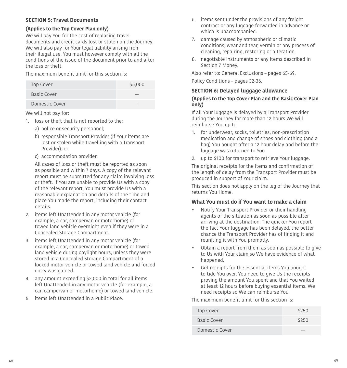#### **SECTION 5: Travel Documents**

#### **(Applies to the Top Cover Plan only)**

We will pay You for the cost of replacing travel documents and credit cards lost or stolen on the Journey. We will also pay for Your legal liability arising from their illegal use. You must however comply with all the conditions of the issue of the document prior to and after the loss or theft.

The maximum benefit limit for this section is:

| <b>Top Cover</b> | \$5,000 |
|------------------|---------|
| Basic Cover      |         |
| Domestic Cover   |         |

We will not pay for:

- 1. loss or theft that is not reported to the:
	- a) police or security personnel;
	- b) responsible Transport Provider (if Your items are lost or stolen while travelling with a Transport Provider); or
	- c) accommodation provider.

All cases of loss or theft must be reported as soon as possible and within 7 days. A copy of the relevant report must be submitted for any claim involving loss or theft. If You are unable to provide Us with a copy of the relevant report, You must provide Us with a reasonable explanation and details of the time and place You made the report, including their contact details.

- 2. items left Unattended in any motor vehicle (for example, a car, campervan or motorhome) or towed land vehicle overnight even if they were in a Concealed Storage Compartment.
- 3. items left Unattended in any motor vehicle (for example, a car, campervan or motorhome) or towed land vehicle during daylight hours, unless they were stored in a Concealed Storage Compartment of a locked motor vehicle or towed land vehicle and forced entry was gained.
- 4. any amount exceeding \$2,000 in total for all items left Unattended in any motor vehicle (for example, a car, campervan or motorhome) or towed land vehicle.
- 5. items left Unattended in a Public Place.
- 6. items sent under the provisions of any freight contract or any luggage forwarded in advance or which is unaccompanied.
- 7. damage caused by atmospheric or climatic conditions, wear and tear, vermin or any process of cleaning, repairing, restoring or alteration.
- 8. negotiable instruments or any items described in Section 7 Money.

Also refer to: General Exclusions – pages [65-](#page-32-0)[69.](#page-34-0)

Policy Conditions – pages [32](#page-16-1)[-36](#page-18-0).

#### **SECTION 6: Delayed luggage allowance**

#### **(Applies to the Top Cover Plan and the Basic Cover Plan only)**

If all Your luggage is delayed by a Transport Provider during the Journey for more than 12 hours We will reimburse You up to:

- 1. for underwear, socks, toiletries, non-prescription medication and change of shoes and clothing (and a bag) You bought after a 12 hour delay and before the luggage was returned to You
- 2. up to \$100 for transport to retrieve Your luggage.

The original receipts for the items and confrmation of the length of delay from the Transport Provider must be produced in support of Your claim.

This section does not apply on the leg of the Journey that returns You Home.

#### **What You must do if You want to make a claim**

- Notify Your Transport Provider or their handling agents of the situation as soon as possible after arriving at the destination. The quicker You report the fact Your luggage has been delayed, the better chance the Transport Provider has of fnding it and reuniting it with You promptly.
- Obtain a report from them as soon as possible to give to Us with Your claim so We have evidence of what happened.
- Get receipts for the essential items You bought to tide You over. You need to give Us the receipts proving the amount You spent and that You waited at least 12 hours before buying essential items. We need receipts so We can reimburse You.

The maximum benefit limit for this section is:

| Top Cover      | \$250 |
|----------------|-------|
| Basic Cover    | \$250 |
| Domestic Cover |       |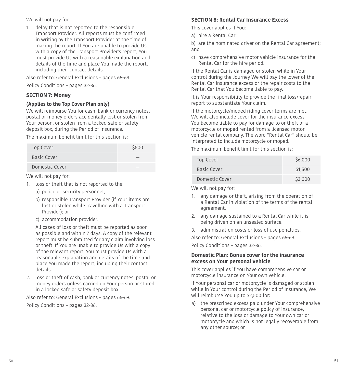We will not pay for:

1. delay that is not reported to the responsible Transport Provider. All reports must be confrmed in writing by the Transport Provider at the time of making the report. If You are unable to provide Us with a copy of the Transport Provider's report, You must provide Us with a reasonable explanation and details of the time and place You made the report, including their contact details.

Also refer to: General Exclusions – pages [65](#page-32-0)-[69](#page-34-0).

Policy Conditions – pages [32](#page-16-1)[-36.](#page-18-0)

#### **SECTION 7: Money**

#### **(Applies to the Top Cover Plan only)**

We will reimburse You for cash, bank or currency notes, postal or money orders accidentally lost or stolen from Your person, or stolen from a locked safe or safety deposit box, during the Period of Insurance.

The maximum benefit limit for this section is:

| <b>Top Cover</b> | \$500 |
|------------------|-------|
| Basic Cover      |       |
| Domestic Cover   |       |

We will not pay for:

- 1. loss or theft that is not reported to the:
	- a) police or security personnel;
	- b) responsible Transport Provider (if Your items are lost or stolen while travelling with a Transport Provider); or
	- c) accommodation provider.

All cases of loss or theft must be reported as soon as possible and within 7 days. A copy of the relevant report must be submitted for any claim involving loss or theft. If You are unable to provide Us with a copy of the relevant report, You must provide Us with a reasonable explanation and details of the time and place You made the report, including their contact details.

 2. loss or theft of cash, bank or currency notes, postal or money orders unless carried on Your person or stored in a locked safe or safety deposit box.

Also refer to: General Exclusions – pages [65](#page-32-0)-[69](#page-34-0). Policy Conditions – pages [32](#page-16-1)[-36.](#page-18-0)

#### **SECTION 8: Rental Car Insurance Excess**

This cover applies if You:

a) hire a Rental Car;

b) are the nominated driver on the Rental Car agreement; and

 c) have comprehensive motor vehicle insurance for the Rental Car for the hire period.

If the Rental Car is damaged or stolen while in Your control during the Journey We will pay the lower of the Rental Car insurance excess or the repair costs to the Rental Car that You become liable to pay.

It is Your responsibility to provide the final loss/repair report to substantiate Your claim.

If the motorcycle/moped riding cover terms are met, We will also include cover for the insurance excess You become liable to pay for damage to or theft of a motorcycle or moped rented from a licensed motor vehicle rental company. The word "Rental Car" should be interpreted to include motorcycle or moped.

The maximum benefit limit for this section is:

| <b>Top Cover</b> | \$6,000 |
|------------------|---------|
| Basic Cover      | \$1,500 |
| Domestic Cover   | \$3,000 |

We will not pay for:

- 1. any damage or theft, arising from the operation of a Rental Car in violation of the terms of the rental agreement.
- 2. any damage sustained to a Rental Car while it is being driven on an unsealed surface.
- 3. administration costs or loss of use penalties.

Also refer to: General Exclusions – pages [65](#page-32-0)-[69](#page-34-0).

Policy Conditions – pages [32](#page-16-1)[-36.](#page-18-0)

#### **Domestic Plan: Bonus cover for the insurance excess on Your personal vehicle**

This cover applies if You have comprehensive car or motorcycle insurance on Your own vehicle.

If Your personal car or motorcycle is damaged or stolen while in Your control during the Period of Insurance, We will reimburse You up to \$2,500 for:

a) the prescribed excess paid under Your comprehensive personal car or motorcycle policy of insurance, relative to the loss or damage to Your own car or motorcycle and which is not legally recoverable from any other source; or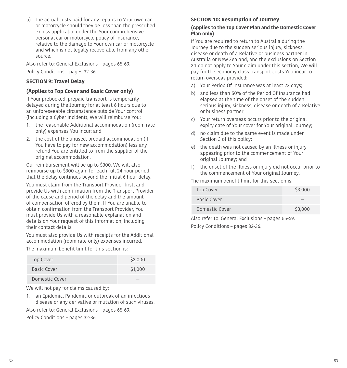b) the actual costs paid for any repairs to Your own car or motorcycle should they be less than the prescribed excess applicable under the Your comprehensive personal car or motorcycle policy of insurance, relative to the damage to Your own car or motorcycle and which is not legally recoverable from any other source.

Also refer to: General Exclusions – pages [65](#page-32-0)-[69](#page-34-0). Policy Conditions – pages [32](#page-16-1)[-36.](#page-18-0)

#### **SECTION 9: Travel Delay**

#### **(Applies to Top Cover and Basic Cover only)**

If Your prebooked, prepaid transport is temporarily delayed during the Journey for at least 6 hours due to an unforeseeable circumstance outside Your control (including a Cyber Incident), We will reimburse You:

- 1. the reasonable Additional accommodation (room rate only) expenses You incur; and
- 2. the cost of the unused, prepaid accommodation (if You have to pay for new accommodation) less any refund You are entitled to from the supplier of the original accommodation.

Our reimbursement will be up to \$300. We will also reimburse up to \$300 again for each full 24 hour period that the delay continues beyond the initial 6 hour delay.

You must claim from the Transport Provider first, and provide Us with confrmation from the Transport Provider of the cause and period of the delay and the amount of compensation ofered by them. If You are unable to obtain confrmation from the Transport Provider, You must provide Us with a reasonable explanation and details on Your request of this information, including their contact details.

You must also provide Us with receipts for the Additional accommodation (room rate only) expenses incurred.

The maximum benefit limit for this section is:

| Top Cover      | \$2,000 |
|----------------|---------|
| Basic Cover    | \$1,000 |
| Domestic Cover |         |

We will not pay for claims caused by:

<span id="page-26-0"></span>1. an Epidemic, Pandemic or outbreak of an infectious disease or any derivative or mutation of such viruses.

Also refer to: General Exclusions – pages [65](#page-32-0)-[69](#page-34-0).

Policy Conditions – pages [32](#page-16-1)[-36.](#page-18-0)

#### **SECTION 10: Resumption of Journey**

#### **(Applies to the Top Cover Plan and the Domestic Cover Plan only)**

If You are required to return to Australia during the Journey due to the sudden serious injury, sickness, disease or death of a Relative or business partner in Australia or New Zealand, and the exclusions on Section 2.1 do not apply to Your claim under this section, We will pay for the economy class transport costs You incur to return overseas provided:

- a) Your Period Of Insurance was at least 23 days;
- b) and less than 50% of the Period Of Insurance had elapsed at the time of the onset of the sudden serious injury, sickness, disease or death of a Relative or business partner;
- c) Your return overseas occurs prior to the original expiry date of Your cover for Your original Journey;
- d) no claim due to the same event is made under Section 3 of this policy;
- e) the death was not caused by an illness or injury appearing prior to the commencement of Your original Journey; and
- f) the onset of the illness or injury did not occur prior to the commencement of Your original Journey.

The maximum benefit limit for this section is:

| Top Cover      | \$3,000 |
|----------------|---------|
| Basic Cover    |         |
| Domestic Cover | \$3,000 |

Also refer to: General Exclusions – pages [65](#page-32-0)[-69.](#page-34-0) Policy Conditions – pages [32](#page-16-1)-[36](#page-18-0).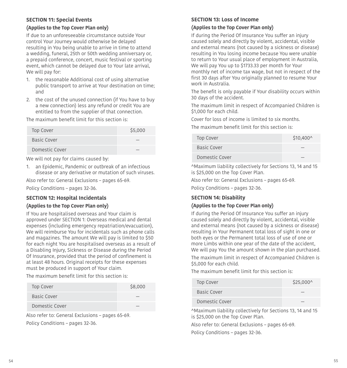#### **SECTION 11: Special Events**

#### **(Applies to the Top Cover Plan only)**

If due to an unforeseeable circumstance outside Your control Your Journey would otherwise be delayed resulting in You being unable to arrive in time to attend a wedding, funeral, 25th or 50th wedding anniversary or, a prepaid conference, concert, music festival or sporting event, which cannot be delayed due to Your late arrival, We will pay for:

- 1. the reasonable Additional cost of using alternative public transport to arrive at Your destination on time; and
- 2. the cost of the unused connection (if You have to buy a new connection) less any refund or credit You are entitled to from the supplier of that connection.

The maximum benefit limit for this section is:

| \$5,000<br><b>Top Cover</b> |  |
|-----------------------------|--|
| Basic Cover                 |  |
| Domestic Cover              |  |

We will not pay for claims caused by:

<span id="page-27-0"></span>1. an Epidemic, Pandemic or outbreak of an infectious disease or any derivative or mutation of such viruses.

Also refer to: General Exclusions – pages [65](#page-32-0)-[69](#page-34-0).

Policy Conditions – pages [32](#page-16-1)[-36.](#page-18-0)

#### **SECTION 12: Hospital Incidentals**

#### **(Applies to the Top Cover Plan only)**

If You are hospitalised overseas and Your claim is approved under SECTION 1: Overseas medical and dental expenses (including emergency repatriation/evacuation), We will reimburse You for incidentals such as phone calls and magazines. The amount We will pay is limited to \$50 for each night You are hospitalised overseas as a result of a Disabling Injury, Sickness or Disease during the Period Of Insurance, provided that the period of confnement is at least 48 hours. Original receipts for these expenses must be produced in support of Your claim.

The maximum benefit limit for this section is:

| Top Cover      | \$8,000 |
|----------------|---------|
| Basic Cover    |         |
| Domestic Cover |         |

Also refer to: General Exclusions – pages [65](#page-32-0)-[69](#page-34-0). Policy Conditions – pages [32](#page-16-1)[-36.](#page-18-0)

#### **SECTION 13: Loss of Income**

#### **(Applies to the Top Cover Plan only)**

If during the Period Of Insurance You sufer an injury caused solely and directly by violent, accidental, visible and external means (not caused by a sickness or disease) resulting in You losing income because You were unable to return to Your usual place of employment in Australia, We will pay You up to \$1733.33 per month for Your monthly net of income tax wage, but not in respect of the frst 30 days after You originally planned to resume Your work in Australia.

The benefit is only payable if Your disability occurs within 30 days of the accident.

The maximum limit in respect of Accompanied Children is \$1,000 for each child.

Cover for loss of income is limited to six months.

The maximum benefit limit for this section is:

| Top Cover      | \$10,400^ |
|----------------|-----------|
| Basic Cover    |           |
| Domestic Cover |           |

^Maximum liability collectively for Sections 13, 14 and 15 is \$25,000 on the Top Cover Plan.

Also refer to: General Exclusions – pages [65](#page-32-0)-[69](#page-34-0).

Policy Conditions – pages [32](#page-16-1)[-36.](#page-18-0)

#### **SECTION 14: Disability**

#### **(Applies to the Top Cover Plan only)**

If during the Period Of Insurance You sufer an injury caused solely and directly by violent, accidental, visible and external means (not caused by a sickness or disease) resulting in Your Permanent total loss of sight in one or both eyes or the Permanent total loss of use of one or more Limbs within one year of the date of the accident, We will pay You the amount shown in the plan purchased.

The maximum limit in respect of Accompanied Children is \$5,000 for each child.

The maximum benefit limit for this section is:

| Top Cover      | $$25,000^{\circ}$$ |
|----------------|--------------------|
| Basic Cover    |                    |
| Domestic Cover |                    |

^Maximum liability collectively for Sections 13, 14 and 15 is \$25,000 on the Top Cover Plan.

Also refer to: General Exclusions – pages [65](#page-32-0)-[69](#page-34-0).

Policy Conditions – pages [32](#page-16-1)[-36.](#page-18-0)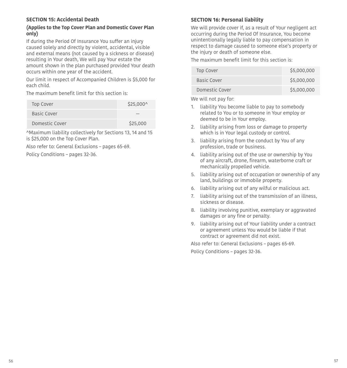#### **SECTION 15: Accidental Death**

#### **(Applies to the Top Cover Plan and Domestic Cover Plan only)**

If during the Period Of Insurance You sufer an injury caused solely and directly by violent, accidental, visible and external means (not caused by a sickness or disease) resulting in Your death, We will pay Your estate the amount shown in the plan purchased provided Your death occurs within one year of the accident.

Our limit in respect of Accompanied Children is \$5,000 for each child.

The maximum benefit limit for this section is:

| <b>Top Cover</b> | $$25,000^{\circ}$$ |
|------------------|--------------------|
| Basic Cover      |                    |
| Domestic Cover   | \$25,000           |

^Maximum liability collectively for Sections 13, 14 and 15 is \$25,000 on the Top Cover Plan.

Also refer to: General Exclusions – pages [65](#page-32-0)-[69](#page-34-0).

Policy Conditions – pages [32](#page-16-1)[-36.](#page-18-0)

#### <span id="page-28-1"></span>**SECTION 16: Personal liability**

We will provide cover if, as a result of Your negligent act occurring during the Period Of Insurance, You become unintentionally legally liable to pay compensation in respect to damage caused to someone else's property or the injury or death of someone else.

The maximum benefit limit for this section is:

| Top Cover      | \$5,000,000 |
|----------------|-------------|
| Basic Cover    | \$5,000,000 |
| Domestic Cover | \$5,000,000 |

We will not pay for:

- 1. liability You become liable to pay to somebody related to You or to someone in Your employ or deemed to be in Your employ.
- 2. liability arising from loss or damage to property which is in Your legal custody or control.
- 3. liability arising from the conduct by You of any profession, trade or business.
- 4. liability arising out of the use or ownership by You of any aircraft, drone, frearm, waterborne craft or mechanically propelled vehicle.
- 5. liability arising out of occupation or ownership of any land, buildings or immobile property.
- 6. liability arising out of any wilful or malicious act.
- 7. liability arising out of the transmission of an illness, sickness or disease.
- 8. liability involving punitive, exemplary or aggravated damages or any fine or penalty.
- <span id="page-28-0"></span>9. liability arising out of Your liability under a contract or agreement unless You would be liable if that contract or agreement did not exist.

Also refer to: General Exclusions – pages [65](#page-32-0)[-69.](#page-34-0) Policy Conditions – pages [32](#page-16-1)-[36](#page-18-0).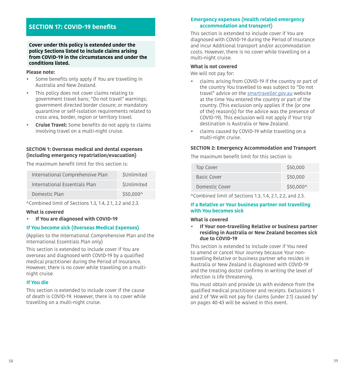### <span id="page-29-0"></span>**SECTION 17: COVID-19 benefts**

**Cover under this policy is extended under the policy Sections listed to include claims arising from COVID-19 in the circumstances and under the conditions listed.** 

#### **Please note:**

- Some benefts only apply if You are travelling in Australia and New Zealand.
- This policy does not cover claims relating to government travel bans; "Do not travel" warnings; government directed border closure; or mandatory quarantine or self-isolation requirements related to cross area, border, region or territory travel.
- **Cruise Travel:** Some benefts do not apply to claims involving travel on a multi-night cruise.

#### **SECTION 1: Overseas medical and dental expenses (including emergency repatriation/evacuation)**

The maximum benefit limit for this section is:

| International Comprehensive Plan | SUnlimited         |
|----------------------------------|--------------------|
| International Essentials Plan    | <b>\$Unlimited</b> |
| Domestic Plan                    | \$50,000^          |

^Combined limit of Sections 1.3, 1.4, 2.1, 2.2 and 2.3.

#### **What is covered**

**• If You are diagnosed with COVID-19** 

#### **If You become sick (Overseas Medical Expenses)**

(Applies to the International Comprehensive Plan and the International Essentials Plan only)

This section is extended to include cover if You are overseas and diagnosed with COVID-19 by a qualifed medical practitioner during the Period of Insurance. However, there is no cover while travelling on a multinight cruise.

#### **If You die**

This section is extended to include cover if the cause of death is COVID-19. However, there is no cover while travelling on a multi-night cruise.

#### **Emergency expenses (Health related emergency accommodation and transport)**

This section is extended to include cover if You are diagnosed with COVID-19 during the Period of Insurance and incur Additional transport and/or accommodation costs. However, there is no cover while travelling on a multi-night cruise.

#### **What is not covered**

We will not pay for:

- claims arising from COVID-19 if the country or part of the country You travelled to was subject to "Do not travel" advice on the smartraveller.gov.au website at the time You entered the country or part of the country. (This exclusion only applies if the (or one of the) reason(s) for the advice was the presence of COVID-19). This exclusion will not apply if Your trip destination is Australia or New Zealand.
- claims caused by COVID-19 while travelling on a multi-night cruise.

#### **SECTION 2: Emergency Accommodation and Transport**

The maximum beneft limit for this section is:

| Top Cover      | \$50,000  |
|----------------|-----------|
| Basic Cover    | \$50,000  |
| Domestic Cover | \$50,000^ |

^Combined limit of Sections 1.3, 1.4, 2.1, 2.2, and 2.3.

#### **If a Relative or Your business partner not travelling with You becomes sick**

#### **What is covered**

 **• If Your non-travelling Relative or business partner residing in Australia or New Zealand becomes sick due to COVID-19** 

This section is extended to include cover if You need to amend or cancel Your Journey because Your nontravelling Relative or business partner who resides in Australia or New Zealand is diagnosed with COVID-19 and the treating doctor confrms in writing the level of infection is life threatening.

You must obtain and provide Us with evidence from the qualifed medical practitioner and receipts. Exclusions 1 and 2 of 'We will not pay for claims (under 2.1) caused by' on pages [40](#page-20-1)-43 will be waived in this event.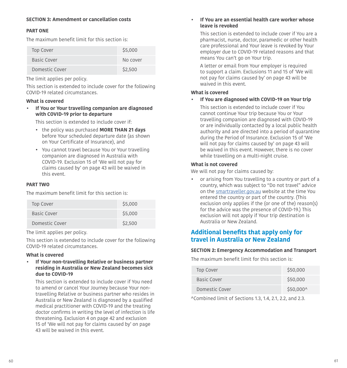#### **PART ONE**

The maximum benefit limit for this section is:

| Top Cover      | \$5,000  |
|----------------|----------|
| Basic Cover    | No cover |
| Domestic Cover | \$2,500  |

The limit applies per policy.

This section is extended to include cover for the following COVID-19 related circumstances.

#### **What is covered**

**• If You or Your travelling companion are diagnosed with COVID-19 prior to departure** 

This section is extended to include cover if:

- the policy was purchased **MORE THAN 21 days**  before Your scheduled departure date (as shown on Your Certifcate of Insurance), and
- You cannot travel because You or Your travelling companion are diagnosed in Australia with COVID-19. Exclusion 15 of 'We will not pay for claims caused by' on page [43](#page-21-0) will be waived in this event.

#### **PART TWO**

The maximum benefit limit for this section is:

| Top Cover      | \$5,000 |
|----------------|---------|
| Basic Cover    | \$5,000 |
| Domestic Cover | \$2,500 |

The limit applies per policy.

This section is extended to include cover for the following COVID-19 related circumstances.

#### **What is covered**

**• If Your non-travelling Relative or business partner residing in Australia or New Zealand becomes sick due to COVID-19** 

This section is extended to include cover if You need to amend or cancel Your Journey because Your nontravelling Relative or business partner who resides in Australia or New Zealand is diagnosed by a qualifed medical practitioner with COVID-19 and the treating doctor confrms in writing the level of infection is life threatening. Exclusion 4 on page [42](#page-21-1) and exclusion 15 of 'We will not pay for claims caused by' on page [43](#page-21-0) will be waived in this event.

#### **• If You are an essential health care worker whose leave is revoked**

This section is extended to include cover if You are a pharmacist, nurse, doctor, paramedic or other health care professional and Your leave is revoked by Your employer due to COVID-19 related reasons and that means You can't go on Your trip.

A letter or email from Your employer is required to support a claim. Exclusions 11 and 15 of 'We will not pay for claims caused by' on page [43](#page-21-0) will be waived in this event.

#### **What is covered**

**• If You are diagnosed with COVID-19 on Your trip** 

This section is extended to include cover if You cannot continue Your trip because You or Your travelling companion are diagnosed with COVID-19 or are individually contacted by a local public health authority and are directed into a period of quarantine during the Period of Insurance. Exclusion 15 of 'We will not pay for claims caused by' on page [43](#page-21-0) will be waived in this event. However, there is no cover while travelling on a multi-night cruise.

#### **What is not covered**

We will not pay for claims caused by:

• or arising from You travelling to a country or part of a country, which was subject to "Do not travel" advice on the smartraveller.gov.au website at the time You entered the country or part of the country. (This exclusion only applies if the (or one of the) reason(s) for the advice was the presence of COVID-19.) This exclusion will not apply if Your trip destination is Australia or New Zealand.

### **Additional benefts that apply only for travel in Australia or New Zealand**

#### **SECTION 2: Emergency Accommodation and Transport**

The maximum benefit limit for this section is:

| Top Cover      | \$50,000  |
|----------------|-----------|
| Basic Cover    | \$50,000  |
| Domestic Cover | \$50,000^ |

^Combined limit of Sections 1.3, 1.4, 2.1, 2.2, and 2.3.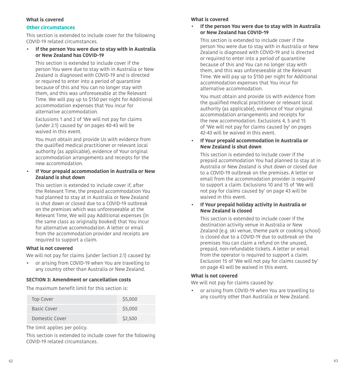#### **What is covered What is covered**

#### **Other circumstances**

This section is extended to include cover for the following COVID-19 related circumstances.

#### **• If the person You were due to stay with in Australia or New Zealand has COVID-19**

This section is extended to include cover if the person You were due to stay with in Australia or New Zealand is diagnosed with COVID-19 and is directed or required to enter into a period of quarantine because of this and You can no longer stay with them, and this was unforeseeable at the Relevant Time. We will pay up to \$150 per night for Additional accommodation expenses that You incur for alternative accommodation.

Exclusions 1 and 2 of 'We will not pay for claims (under 2.1) caused by' on pages [40](#page-20-1)-43 will be waived in this event.

You must obtain and provide Us with evidence from the qualifed medical practitioner or relevant local authority (as applicable), evidence of Your original accommodation arrangements and receipts for the new accommodation.

#### **• If Your prepaid accommodation in Australia or New Zealand is shut down**

This section is extended to include cover if, after the Relevant Time, the prepaid accommodation You had planned to stay at in Australia or New Zealand is shut down or closed due to a COVID-19 outbreak on the premises which was unforeseeable at the Relevant Time, We will pay Additional expenses (in the same class as originally booked) that You incur for alternative accommodation. A letter or email from the accommodation provider and receipts are required to support a claim.

#### **What is not covered**

We will not pay for claims (under Section 2.1) caused by:

• or arising from COVID-19 when You are travelling to any country other than Australia or New Zealand.

#### **SECTION 3: Amendment or cancellation costs**

The maximum benefit limit for this section is:

| <b>Top Cover</b> | \$5,000 |
|------------------|---------|
| Basic Cover      | \$5,000 |
| Domestic Cover   | \$2,500 |

The limit applies per policy.

This section is extended to include cover for the following COVID-19 related circumstances.

 **• If the person You were due to stay with in Australia or New Zealand has COVID-19** 

This section is extended to include cover if the person You were due to stay with in Australia or New Zealand is diagnosed with COVID-19 and is directed or required to enter into a period of quarantine because of this and You can no longer stay with them, and this was unforeseeable at the Relevant Time. We will pay up to \$150 per night for Additional accommodation expenses that You incur for alternative accommodation.

You must obtain and provide Us with evidence from the qualifed medical practitioner or relevant local authority (as applicable), evidence of Your original accommodation arrangements and receipts for the new accommodation. Exclusions 4, 5 and 15 of 'We will not pay for claims caused by' on pages [42](#page-21-1)[-43](#page-21-0) will be waived in this event.

#### **• If Your prepaid accommodation in Australia or New Zealand is shut down**

This section is extended to include cover if the prepaid accommodation You had planned to stay at in Australia or New Zealand is shut down or closed due to a COVID-19 outbreak on the premises. A letter or email from the accommodation provider is required to support a claim. Exclusions 10 and 15 of 'We will not pay for claims caused by' on page [43](#page-21-0) will be waived in this event.

#### **• If Your prepaid holiday activity in Australia or New Zealand is closed**

This section is extended to include cover if the destination activity venue in Australia or New Zealand (e.g. ski venue, theme park or cooking school) is closed due to a COVID-19 due to outbreak on the premises You can claim a refund on the unused, prepaid, non-refundable tickets. A letter or email from the operator is required to support a claim. Exclusion 15 of 'We will not pay for claims caused by' on page [43](#page-21-0) will be waived in this event.

#### **What is not covered**

We will not pay for claims caused by:

• or arising from COVID-19 when You are travelling to any country other than Australia or New Zealand.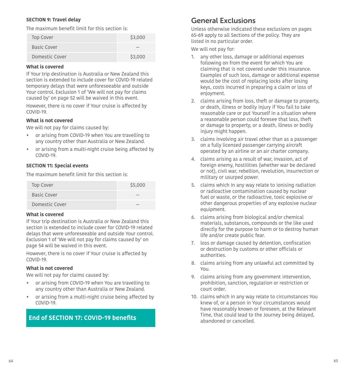#### **SECTION 9: Travel delay**

The maximum benefit limit for this section is:

| <b>Top Cover</b> | \$3,000 |
|------------------|---------|
| Basic Cover      |         |
| Domestic Cover   | \$3,000 |

#### **What is covered**

If Your trip destination is Australia or New Zealand this section is extended to include cover for COVID-19 related temporary delays that were unforeseeable and outside Your control. Exclusion 1 of 'We will not pay for claims caused by' on page [52](#page-26-0) will be waived in this event.

However, there is no cover if Your cruise is afected by COVID-19.

#### **What is not covered**

We will not pay for claims caused by:

- or arising from COVID-19 when You are travelling to any country other than Australia or New Zealand.
- or arising from a multi-night cruise being afected by COVID-19.

#### **SECTION 11: Special events**

The maximum benefit limit for this section is:

| Top Cover      | \$5,000 |
|----------------|---------|
| Basic Cover    |         |
| Domestic Cover |         |

#### **What is covered**

If Your trip destination is Australia or New Zealand this section is extended to include cover for COVID-19 related delays that were unforeseeable and outside Your control. Exclusion 1 of 'We will not pay for claims caused by' on page [54](#page-27-0) will be waived in this event.

However, there is no cover if Your cruise is afected by COVID-19.

#### **What is not covered**

We will not pay for claims caused by:

- or arising from COVID-19 when You are travelling to any country other than Australia or New Zealand.
- or arising from a multi-night cruise being afected by COVID-19.

### <span id="page-32-1"></span>**End of SECTION 17: COVID-19 benefts**

### <span id="page-32-0"></span>General Exclusions

Unless otherwise indicated these exclusions on pages [65-](#page-32-0)[69](#page-34-2) apply to all Sections of the policy. They are listed in no particular order.

We will not pay for:

- 1. any other loss, damage or additional expenses following on from the event for which You are claiming that is not covered under this insurance. Examples of such loss, damage or additional expense would be the cost of replacing locks after losing keys, costs incurred in preparing a claim or loss of enjoyment.
- 2. claims arising from loss, theft or damage to property, or death, illness or bodily injury if You fail to take reasonable care or put Yourself in a situation where a reasonable person could foresee that loss, theft or damage to property, or a death, illness or bodily injury might happen.
- 3. claims involving air travel other than as a passenger on a fully licensed passenger carrying aircraft operated by an airline or an air charter company.
- 4. claims arising as a result of war, invasion, act of foreign enemy, hostilities (whether war be declared or not), civil war, rebellion, revolution, insurrection or military or usurped power.
- 5. claims which in any way relate to ionising radiation or radioactive contamination caused by nuclear fuel or waste, or the radioactive, toxic explosive or other dangerous properties of any explosive nuclear equipment.
- 6. claims arising from biological and/or chemical materials, substances, compounds or the like used directly for the purpose to harm or to destroy human life and/or create public fear.
- 7. loss or damage caused by detention, confscation or destruction by customs or other officials or authorities.
- 8. claims arising from any unlawful act committed by You.
- 9. claims arising from any government intervention, prohibition, sanction, regulation or restriction or court order.
- 10. claims which in any way relate to circumstances You knew of, or a person in Your circumstances would have reasonably known or foreseen, at the Relevant Time, that could lead to the Journey being delayed, abandoned or cancelled.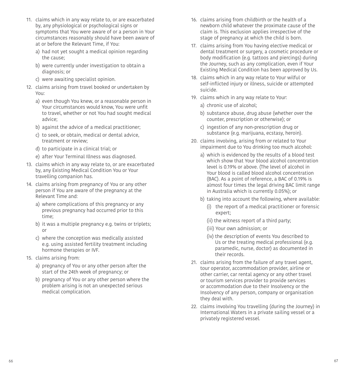- 11. claims which in any way relate to, or are exacerbated by, any physiological or psychological signs or symptoms that You were aware of or a person in Your circumstances reasonably should have been aware of at or before the Relevant Time, if You:
	- a) had not yet sought a medical opinion regarding the cause;
	- b) were currently under investigation to obtain a diagnosis; or
	- c) were awaiting specialist opinion.
- 12. claims arising from travel booked or undertaken by You:
	- a) even though You knew, or a reasonable person in Your circumstances would know, You were unfit to travel, whether or not You had sought medical advice;
	- b) against the advice of a medical practitioner;
	- c) to seek, or obtain, medical or dental advice, treatment or review;
	- d) to participate in a clinical trial; or
	- e) after Your Terminal Illness was diagnosed.
- 13. claims which in any way relate to, or are exacerbated by, any Existing Medical Condition You or Your travelling companion has.
- 14. claims arising from pregnancy of You or any other person if You are aware of the pregnancy at the Relevant Time and:
	- a) where complications of this pregnancy or any previous pregnancy had occurred prior to this time;
	- b) it was a multiple pregnancy e.g. twins or triplets; or
	- c) where the conception was medically assisted e.g. using assisted fertility treatment including hormone therapies or IVF.
- 15. claims arising from:
	- a) pregnancy of You or any other person after the start of the 24th week of pregnancy; or
	- b) pregnancy of You or any other person where the problem arising is not an unexpected serious medical complication.
- 16. claims arising from childbirth or the health of a newborn child whatever the proximate cause of the claim is. This exclusion applies irrespective of the stage of pregnancy at which the child is born.
- 17. claims arising from You having elective medical or dental treatment or surgery, a cosmetic procedure or body modifcation (e.g. tattoos and piercings) during the Journey, such as any complication, even if Your Existing Medical Condition has been approved by Us.
- 18. claims which in any way relate to Your wilful or self-inficted injury or illness, suicide or attempted suicide.
- 19. claims which in any way relate to Your:
	- a) chronic use of alcohol;
	- b) substance abuse, drug abuse (whether over the counter, prescription or otherwise); or
	- c) ingestion of any non-prescription drug or substance (e.g. marijuana, ecstasy, heroin).
- 20. claims involving, arising from or related to Your impairment due to You drinking too much alcohol:
	- a) which is evidenced by the results of a blood test which show that Your blood alcohol concentration level is 0.19% or above. (The level of alcohol in Your blood is called blood alcohol concentration (BAC). As a point of reference, a BAC of 0.19% is almost four times the legal driving BAC limit range in Australia which is currently 0.05%); or
	- b) taking into account the following, where available:
		- (i) the report of a medical practitioner or forensic expert;
		- (ii) the witness report of a third party;
		- (iii) Your own admission; or
		- (iv) the description of events You described to Us or the treating medical professional (e.g. paramedic, nurse, doctor) as documented in their records.
- 21. claims arising from the failure of any travel agent, tour operator, accommodation provider, airline or other carrier, car rental agency or any other travel or tourism services provider to provide services or accommodation due to their Insolvency or the Insolvency of any person, company or organisation they deal with.
- <span id="page-33-0"></span> 22. claims involving You travelling (during the Journey) in International Waters in a private sailing vessel or a privately registered vessel.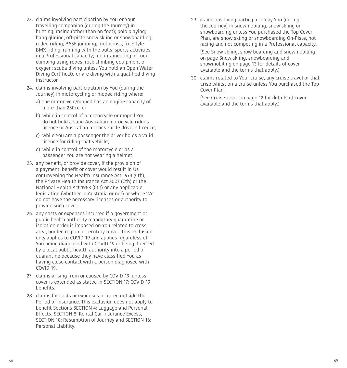- 23. claims involving participation by You or Your travelling companion (during the Journey) in hunting; racing (other than on foot); polo playing; hang gliding; off-piste snow skiing or snowboarding; rodeo riding; BASE jumping; motocross; freestyle BMX riding; running with the bulls; sports activities in a Professional capacity; mountaineering or rock climbing using ropes, rock climbing equipment or oxygen; scuba diving unless You hold an Open Water Diving Certifcate or are diving with a qualifed diving instructor
- 24. claims involving participation by You (during the Journey) in motorcycling or moped riding where:
	- a) the motorcycle/moped has an engine capacity of more than 250cc; or
	- b) while in control of a motorcycle or moped You do not hold a valid Australian motorcycle rider's licence or Australian motor vehicle driver's licence;
	- c) while You are a passenger the driver holds a valid licence for riding that vehicle;
	- d) while in control of the motorcycle or as a passenger You are not wearing a helmet.
- 25. any beneft, or provide cover, if the provision of a payment, benefit or cover would result in Us contravening the Health Insurance Act 1973 (Cth), the Private Health Insurance Act 2007 (Cth) or the National Health Act 1953 (Cth) or any applicable legislation (whether in Australia or not) or where We do not have the necessary licenses or authority to provide such cover.
- 26. any costs or expenses incurred if a government or public health authority mandatory quarantine or isolation order is imposed on You related to cross area, border, region or territory travel. This exclusion only applies to COVID-19 and applies regardless of You being diagnosed with COVID-19 or being directed by a local public health authority into a period of quarantine because they have classifed You as having close contact with a person diagnosed with COVID-19.
- 27. claims arising from or caused by COVID-19, unless cover is extended as stated in SECTION 17: COVID-19 benefits.
- 28. claims for costs or expenses incurred outside the Period of Insurance. This exclusion does not apply to benefit Sections SECTION 4: Luggage and Personal Efects, SECTION 8: Rental Car Insurance Excess, SECTION 10: Resumption of Journey and SECTION 16: Personal Liability.

<span id="page-34-0"></span>29. claims involving participation by You (during the Journey) in snowmobiling, snow skiing or snowboarding unless You purchased the Top Cover Plan, are snow skiing or snowboarding On-Piste, not racing and not competing in a Professional capacity.

(See Snow skiing, snow boarding and snowmobiling on page [Snow skiing, snowboarding and](#page-6-4)  [snowmobiling on page 13](#page-6-4) for details of cover available and the terms that apply.)

<span id="page-34-2"></span> 30. claims related to Your cruise, any cruise travel or that arise whilst on a cruise unless You purchased the Top Cover Plan.

<span id="page-34-1"></span>(See [Cruise cover on page 12](#page-6-3) for details of cover available and the terms that apply.)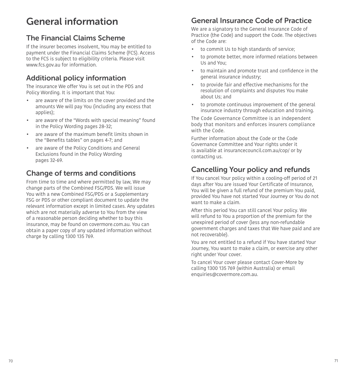## General information

## <span id="page-35-0"></span>The Financial Claims Scheme

If the insurer becomes insolvent, You may be entitled to payment under the Financial Claims Scheme (FCS). Access to the FCS is subject to eligibility criteria. Please visit <www.fcs.gov.au>for information.

## <span id="page-35-1"></span>Additional policy information

The insurance We offer You is set out in the PDS and Policy Wording. It is important that You:

- are aware of the limits on the cover provided and the amounts We will pay You (including any excess that applies);
- are aware of the "Words with special meaning" found in the Policy Wording pages [28](#page-14-1)[-32;](#page-16-0)
- are aware of the maximum beneft limits shown in the "Benefits tables" on pages 4-7; and
- are aware of the Policy Conditions and General Exclusions found in the Policy Wording pages [32](#page-16-1)-[69](#page-34-0).

## <span id="page-35-2"></span>Change of terms and conditions

From time to time and where permitted by law, We may change parts of the Combined FSG/PDS. We will issue You with a new Combined FSG/PDS or a Supplementary FSG or PDS or other compliant document to update the relevant information except in limited cases. Any updates which are not materially adverse to You from the view of a reasonable person deciding whether to buy this insurance, may be found on covermore.com.au. You can obtain a paper copy of any updated information without charge by calling 1300 135 769.

## <span id="page-35-3"></span>General Insurance Code of Practice

We are a signatory to the General Insurance Code of Practice (the Code) and support the Code. The objectives of the Code are:

- to commit Us to high standards of service;
- to promote better, more informed relations between Us and You;
- to maintain and promote trust and confdence in the general insurance industry;
- to provide fair and efective mechanisms for the resolution of complaints and disputes You make about Us; and
- to promote continuous improvement of the general insurance industry through education and training.

The Code Governance Committee is an independent body that monitors and enforces insurers compliance with the Code.

Further information about the Code or the Code Governance Committee and Your rights under it is available at [insurancecouncil.com.au/cop/](https://insurancecouncil.com.au/cop/) or by contacting us.

## <span id="page-35-4"></span>Cancelling Your policy and refunds

If You cancel Your policy within a cooling-off period of 21 days after You are issued Your Certificate of Insurance, You will be given a full refund of the premium You paid, provided You have not started Your Journey or You do not want to make a claim.

After this period You can still cancel Your policy. We will refund to You a proportion of the premium for the unexpired period of cover (less any non-refundable government charges and taxes that We have paid and are not recoverable).

You are not entitled to a refund if You have started Your Journey, You want to make a claim, or exercise any other right under Your cover.

To cancel Your cover please contact Cover-More by calling 1300 135 769 (within Australia) or email enquiries@covermore.com.au.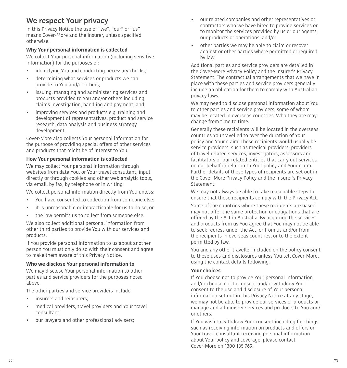## <span id="page-36-0"></span>We respect Your privacy

In this Privacy Notice the use of "we", "our" or "us" means Cover-More and the insurer, unless specifed otherwise.

#### **Why Your personal information is collected**

We collect Your personal information (including sensitive information) for the purposes of:

- identifying You and conducting necessary checks:
- determining what services or products we can provide to You and/or others;
- $\bullet$ issuing, managing and administering services and products provided to You and/or others including claims investigation, handling and payment; and
- improving services and products e.g. training and development of representatives, product and service research, data analysis and business strategy development.

Cover-More also collects Your personal information for the purpose of providing special offers of other services and products that might be of interest to You.

#### **How Your personal information is collected**

We may collect Your personal information through websites from data You, or Your travel consultant, input directly or through cookies and other web analytic tools, via email, by fax, by telephone or in writing.

We collect personal information directly from You unless:

- You have consented to collection from someone else;
- it is unreasonable or impracticable for us to do so; or
- the law permits us to collect from someone else.

We also collect additional personal information from other third parties to provide You with our services and products.

If You provide personal information to us about another person You must only do so with their consent and agree to make them aware of this Privacy Notice.

#### **Who we disclose Your personal information to**

We may disclose Your personal information to other parties and service providers for the purposes noted above.

The other parties and service providers include:

- insurers and reinsurers;
- medical providers, travel providers and Your travel consultant;
- our lawyers and other professional advisers;
- our related companies and other representatives or contractors who we have hired to provide services or to monitor the services provided by us or our agents, our products or operations; and/or
- • other parties we may be able to claim or recover against or other parties where permitted or required by law.

Additional parties and service providers are detailed in the Cover-More Privacy Policy and the insurer's Privacy Statement. The contractual arrangements that we have in place with these parties and service providers generally include an obligation for them to comply with Australian privacy laws.

We may need to disclose personal information about You to other parties and service providers, some of whom may be located in overseas countries. Who they are may change from time to time.

Generally these recipients will be located in the overseas countries You travelled to over the duration of Your policy and Your claim. These recipients would usually be service providers, such as medical providers, providers of travel related services, investigators, assessors and facilitators or our related entities that carry out services on our behalf in relation to Your policy and Your claim. Further details of these types of recipients are set out in the Cover-More Privacy Policy and the insurer's Privacy Statement.

We may not always be able to take reasonable steps to ensure that these recipients comply with the Privacy Act.

Some of the countries where these recipients are based may not ofer the same protection or obligations that are offered by the Act in Australia. By acquiring the services and products from us You agree that You may not be able to seek redress under the Act, or from us and/or from the recipients in overseas countries, or to the extent permitted by law.

You and any other traveller included on the policy consent to these uses and disclosures unless You tell Cover-More, using the contact details following.

#### **Your choices**

If You choose not to provide Your personal information and/or choose not to consent and/or withdraw Your consent to the use and disclosure of Your personal information set out in this Privacy Notice at any stage, we may not be able to provide our services or products or manage and administer services and products to You and/ or others.

If You wish to withdraw Your consent including for things such as receiving information on products and offers or Your travel consultant receiving personal information about Your policy and coverage, please contact Cover-More on 1300 135 769.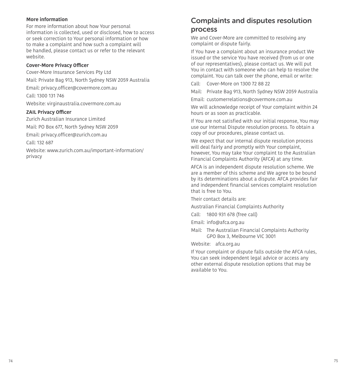#### **More information**

For more information about how Your personal information is collected, used or disclosed, how to access or seek correction to Your personal information or how to make a complaint and how such a complaint will be handled, please contact us or refer to the relevant website.

#### **Cover-More Privacy Officer**

Cover-More Insurance Services Pty Ltd Mail: Private Bag 913, North Sydney NSW 2059 Australia Email: privacy.officer@covermore.com.au Call: 1300 131 746 Website: virginaustralia.covermore.com.au **ZAIL Privacy Officer** 

Zurich Australian Insurance Limited Mail: PO Box 677, North Sydney NSW 2059 Email: privacy.officer@zurich.com.au Call: 132 687 Website: [www.zurich.com.au/important-information/](www.zurich.com.au/important-information) privacy

### <span id="page-37-0"></span>Complaints and disputes resolution process

We and Cover-More are committed to resolving any complaint or dispute fairly.

If You have a complaint about an insurance product We issued or the service You have received (from us or one of our representatives), please contact us. We will put You in contact with someone who can help to resolve the complaint. You can talk over the phone, email or write:

Call: Cover-More on 1300 72 88 22

Mail: Private Bag 913, North Sydney NSW 2059 Australia

Email: customerrelations@covermore.com.au

We will acknowledge receipt of Your complaint within 24 hours or as soon as practicable.

If You are not satisfed with our initial response, You may use our Internal Dispute resolution process. To obtain a copy of our procedures, please contact us.

We expect that our internal dispute resolution process will deal fairly and promptly with Your complaint, however, You may take Your complaint to the Australian Financial Complaints Authority (AFCA) at any time.

AFCA is an independent dispute resolution scheme. We are a member of this scheme and We agree to be bound by its determinations about a dispute. AFCA provides fair and independent financial services complaint resolution that is free to You.

Their contact details are:

Australian Financial Complaints Authority

Call: 1800 931 678 (free call)

Email: info@afca.org.au

 Mail: The Australian Financial Complaints Authority GPO Box 3, Melbourne VIC 3001

Website: afca.org.au

If Your complaint or dispute falls outside the AFCA rules, You can seek independent legal advice or access any other external dispute resolution options that may be available to You.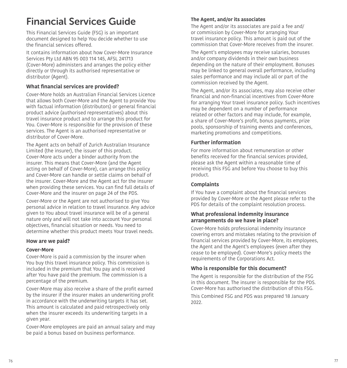## <span id="page-38-0"></span>Financial Services Guide

This Financial Services Guide (FSG) is an important document designed to help You decide whether to use the financial services offered.

It contains information about how Cover-More Insurance Services Pty Ltd ABN 95 003 114 145, AFSL 241713 (Cover-More) administers and arranges the policy either directly or through its authorised representative or distributor (Agent).

#### **What fnancial services are provided?**

Cover-More holds an Australian Financial Services Licence that allows both Cover-More and the Agent to provide You with factual information (distributors) or general financial product advice (authorised representatives) about this travel insurance product and to arrange this product for You. Cover-More is responsible for the provision of these services. The Agent is an authorised representative or distributor of Cover-More.

The Agent acts on behalf of Zurich Australian Insurance Limited (the insurer), the issuer of this product. Cover-More acts under a binder authority from the insurer. This means that Cover-More (and the Agent acting on behalf of Cover-More), can arrange this policy and Cover-More can handle or settle claims on behalf of the insurer. Cover-More and the Agent act for the insurer when providing these services. You can find full details of Cover-More and the insurer on page [24](#page-12-1) of the PDS.

Cover-More or the Agent are not authorised to give You personal advice in relation to travel insurance. Any advice given to You about travel insurance will be of a general nature only and will not take into account Your personal objectives, fnancial situation or needs. You need to determine whether this product meets Your travel needs.

#### **How are we paid?**

#### **Cover-More**

Cover-More is paid a commission by the insurer when You buy this travel insurance policy. This commission is included in the premium that You pay and is received after You have paid the premium. The commission is a percentage of the premium.

Cover-More may also receive a share of the profit earned by the insurer if the insurer makes an underwriting profit in accordance with the underwriting targets it has set. This amount is calculated and paid retrospectively only when the insurer exceeds its underwriting targets in a given year.

Cover-More employees are paid an annual salary and may be paid a bonus based on business performance.

#### **The Agent, and/or its associates**

The Agent and/or its associates are paid a fee and/ or commission by Cover-More for arranging Your travel insurance policy. This amount is paid out of the commission that Cover-More receives from the insurer.

The Agent's employees may receive salaries, bonuses and/or company dividends in their own business depending on the nature of their employment. Bonuses may be linked to general overall performance, including sales performance and may include all or part of the commission received by the Agent.

The Agent, and/or its associates, may also receive other fnancial and non-fnancial incentives from Cover-More for arranging Your travel insurance policy. Such incentives may be dependent on a number of performance related or other factors and may include, for example, a share of Cover-More's proft, bonus payments, prize pools, sponsorship of training events and conferences, marketing promotions and competitions.

#### **Further information**

For more information about remuneration or other benefits received for the financial services provided. please ask the Agent within a reasonable time of receiving this FSG and before You choose to buy this product.

#### **Complaints**

If You have a complaint about the financial services provided by Cover-More or the Agent please refer to the PDS for details of the complaint resolution process.

#### **What professional indemnity insurance arrangements do we have in place?**

Cover-More holds professional indemnity insurance covering errors and mistakes relating to the provision of fnancial services provided by Cover-More, its employees, the Agent and the Agent's employees (even after they cease to be employed). Cover-More's policy meets the requirements of the Corporations Act.

#### **Who is responsible for this document?**

The Agent is responsible for the distribution of the FSG in this document. The insurer is responsible for the PDS. Cover-More has authorised the distribution of this FSG.

<span id="page-38-1"></span>This Combined FSG and PDS was prepared 18 January 2022.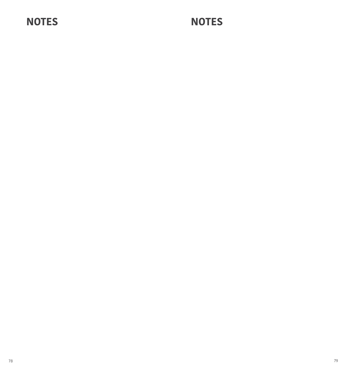# **NOTES NOTES**